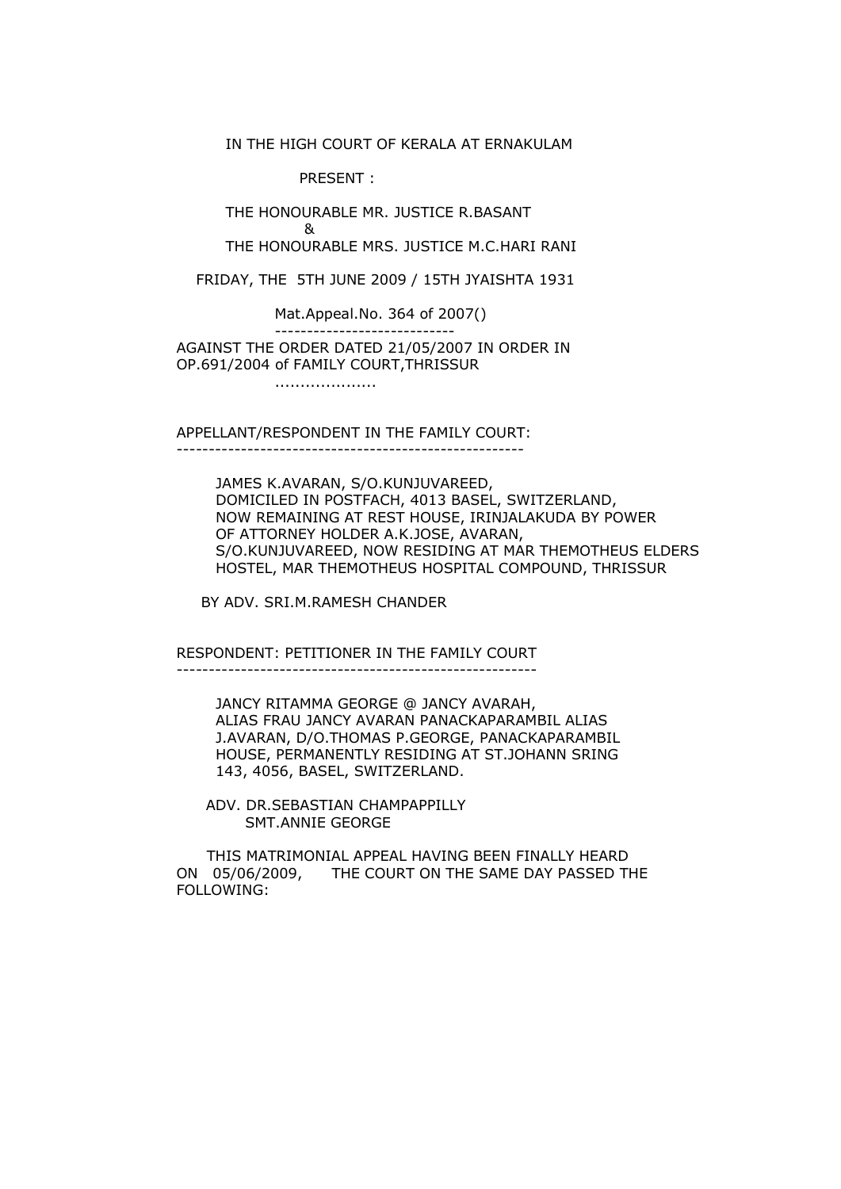IN THE HIGH COURT OF KERALA AT ERNAKULAM

PRESENT :

 THE HONOURABLE MR. JUSTICE R.BASANT and the state of the state of the State of the State of the State of the State of the State of the State of th THE HONOURABLE MRS. JUSTICE M.C.HARI RANI

FRIDAY, THE 5TH JUNE 2009 / 15TH JYAISHTA 1931

Mat.Appeal.No. 364 of 2007()

----------------------------

 AGAINST THE ORDER DATED 21/05/2007 IN ORDER IN OP.691/2004 of FAMILY COURT,THRISSUR

....................

APPELLANT/RESPONDENT IN THE FAMILY COURT:

------------------------------------------------------

 JAMES K.AVARAN, S/O.KUNJUVAREED, DOMICILED IN POSTFACH, 4013 BASEL, SWITZERLAND, NOW REMAINING AT REST HOUSE, IRINJALAKUDA BY POWER OF ATTORNEY HOLDER A.K.JOSE, AVARAN, S/O.KUNJUVAREED, NOW RESIDING AT MAR THEMOTHEUS ELDERS HOSTEL, MAR THEMOTHEUS HOSPITAL COMPOUND, THRISSUR

BY ADV. SRI.M.RAMESH CHANDER

RESPONDENT: PETITIONER IN THE FAMILY COURT

--------------------------------------------------------

 JANCY RITAMMA GEORGE @ JANCY AVARAH, ALIAS FRAU JANCY AVARAN PANACKAPARAMBIL ALIAS J.AVARAN, D/O.THOMAS P.GEORGE, PANACKAPARAMBIL HOUSE, PERMANENTLY RESIDING AT ST.JOHANN SRING 143, 4056, BASEL, SWITZERLAND.

 ADV. DR.SEBASTIAN CHAMPAPPILLY SMT.ANNIE GEORGE

 THIS MATRIMONIAL APPEAL HAVING BEEN FINALLY HEARD ON 05/06/2009, THE COURT ON THE SAME DAY PASSED THE FOLLOWING: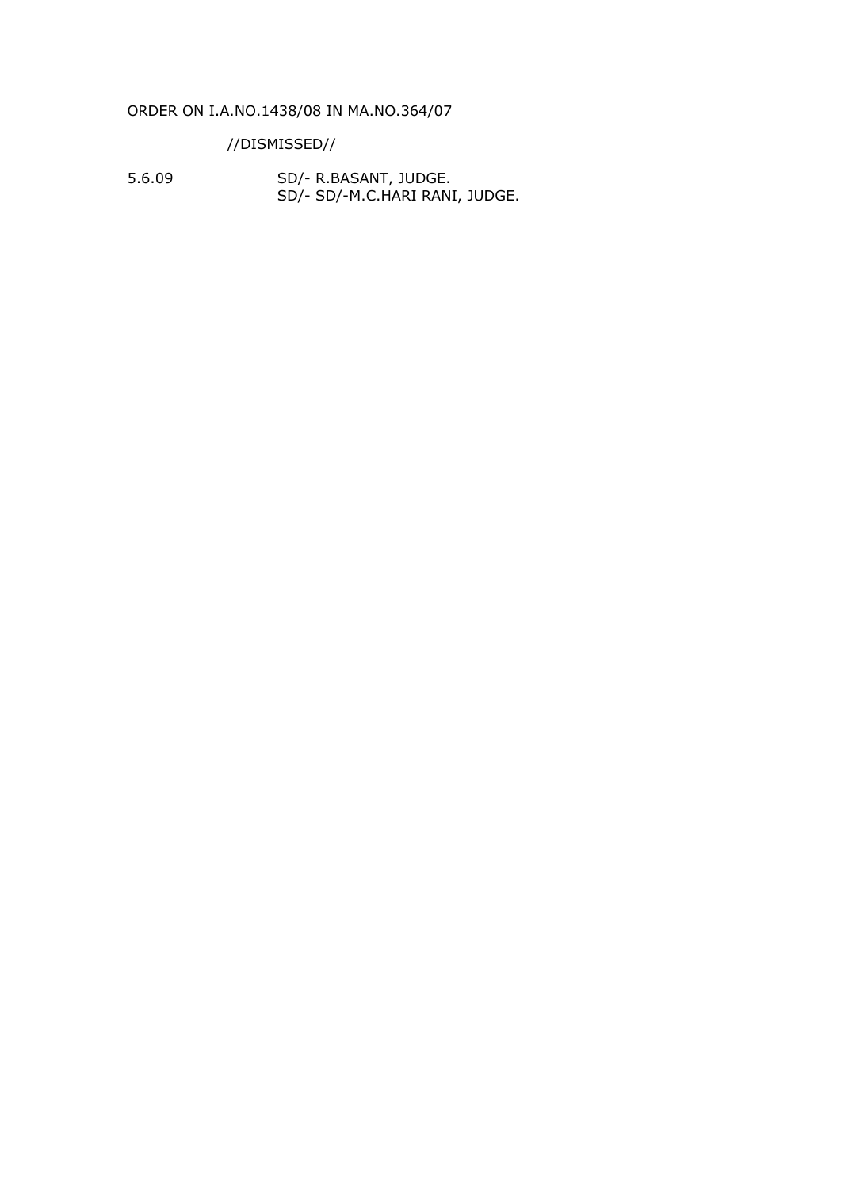#### ORDER ON I.A.NO.1438/08 IN MA.NO.364/07

//DISMISSED//

5.6.09 SD/- R.BASANT, JUDGE. SD/- SD/-M.C.HARI RANI, JUDGE.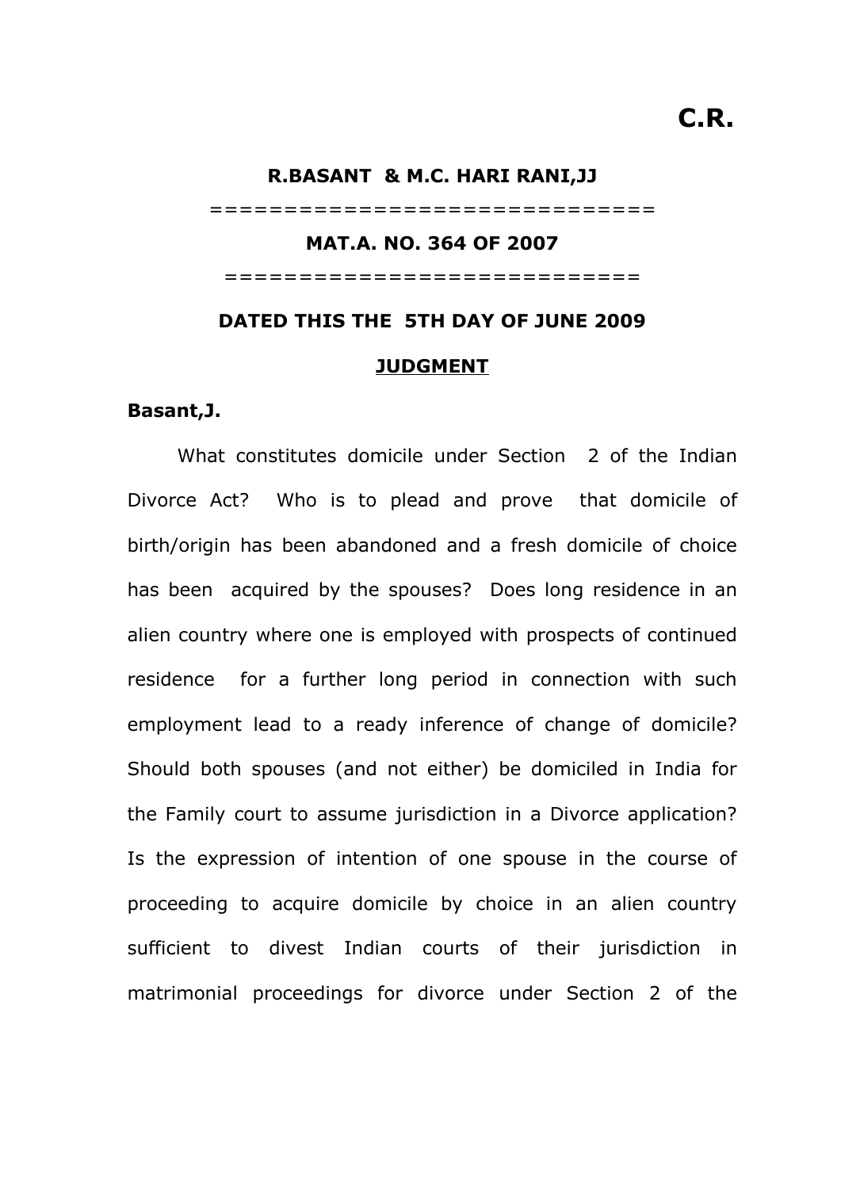# **R.BASANT & M.C. HARI RANI,JJ** ============================== **MAT.A. NO. 364 OF 2007** ============================ **DATED THIS THE 5TH DAY OF JUNE 2009**

#### **JUDGMENT**

#### **Basant,J.**

What constitutes domicile under Section 2 of the Indian Divorce Act? Who is to plead and prove that domicile of birth/origin has been abandoned and a fresh domicile of choice has been acquired by the spouses? Does long residence in an alien country where one is employed with prospects of continued residence for a further long period in connection with such employment lead to a ready inference of change of domicile? Should both spouses (and not either) be domiciled in India for the Family court to assume jurisdiction in a Divorce application? Is the expression of intention of one spouse in the course of proceeding to acquire domicile by choice in an alien country sufficient to divest Indian courts of their jurisdiction in matrimonial proceedings for divorce under Section 2 of the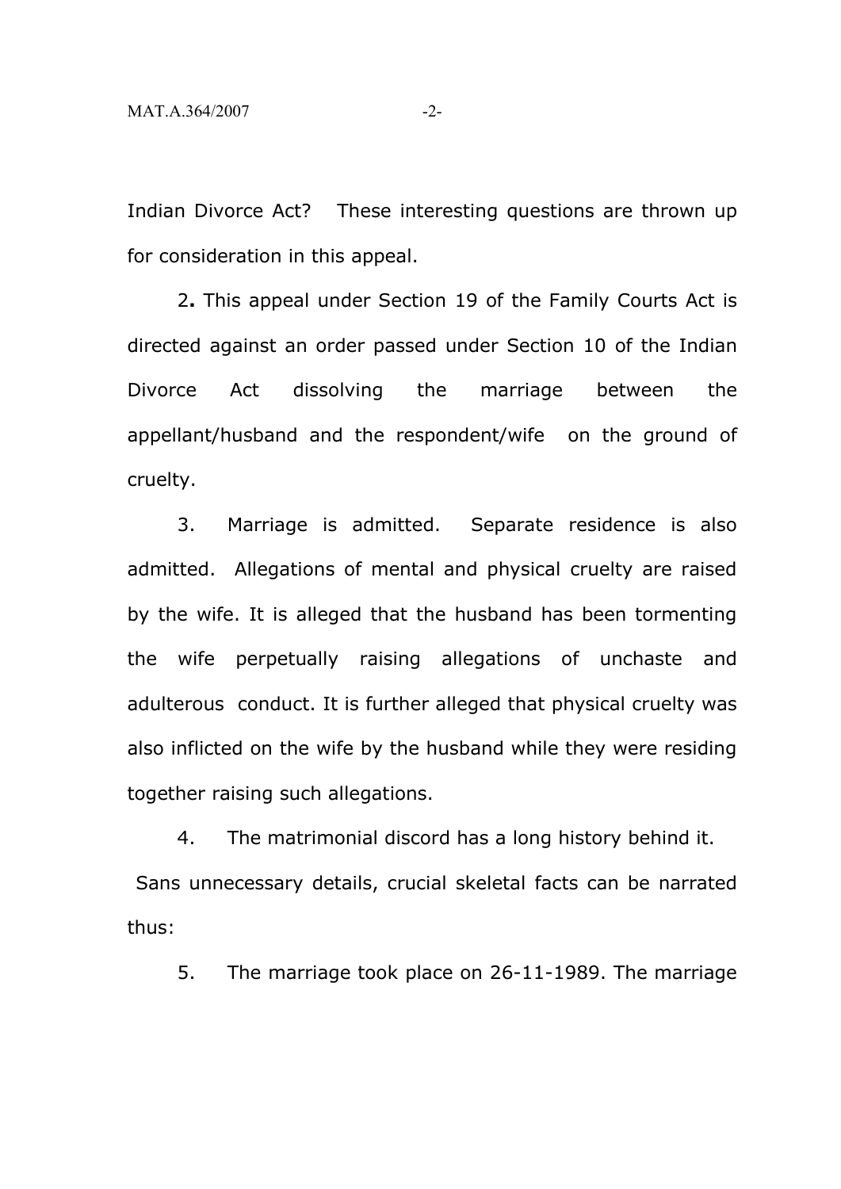Indian Divorce Act? These interesting questions are thrown up for consideration in this appeal.

2**.** This appeal under Section 19 of the Family Courts Act is directed against an order passed under Section 10 of the Indian Divorce Act dissolving the marriage between the appellant/husband and the respondent/wife on the ground of cruelty.

3. Marriage is admitted. Separate residence is also admitted. Allegations of mental and physical cruelty are raised by the wife. It is alleged that the husband has been tormenting the wife perpetually raising allegations of unchaste and adulterous conduct. It is further alleged that physical cruelty was also inflicted on the wife by the husband while they were residing together raising such allegations.

4. The matrimonial discord has a long history behind it. Sans unnecessary details, crucial skeletal facts can be narrated thus:

5. The marriage took place on 26-11-1989. The marriage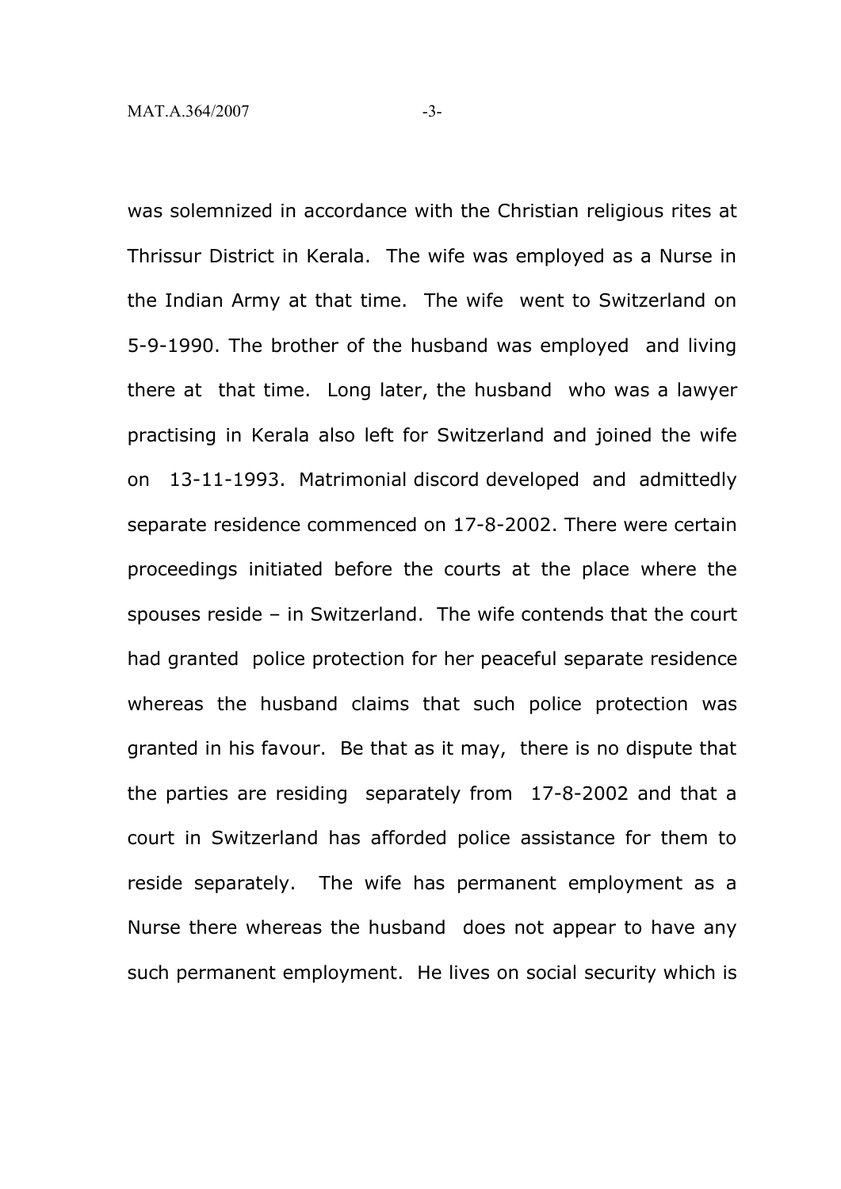was solemnized in accordance with the Christian religious rites at Thrissur District in Kerala. The wife was employed as a Nurse in the Indian Army at that time. The wife went to Switzerland on 5-9-1990. The brother of the husband was employed and living there at that time. Long later, the husband who was a lawyer practising in Kerala also left for Switzerland and joined the wife on 13-11-1993. Matrimonial discord developed and admittedly separate residence commenced on 17-8-2002. There were certain proceedings initiated before the courts at the place where the spouses reside – in Switzerland. The wife contends that the court had granted police protection for her peaceful separate residence whereas the husband claims that such police protection was granted in his favour. Be that as it may, there is no dispute that the parties are residing separately from 17-8-2002 and that a court in Switzerland has afforded police assistance for them to reside separately. The wife has permanent employment as a Nurse there whereas the husband does not appear to have any such permanent employment. He lives on social security which is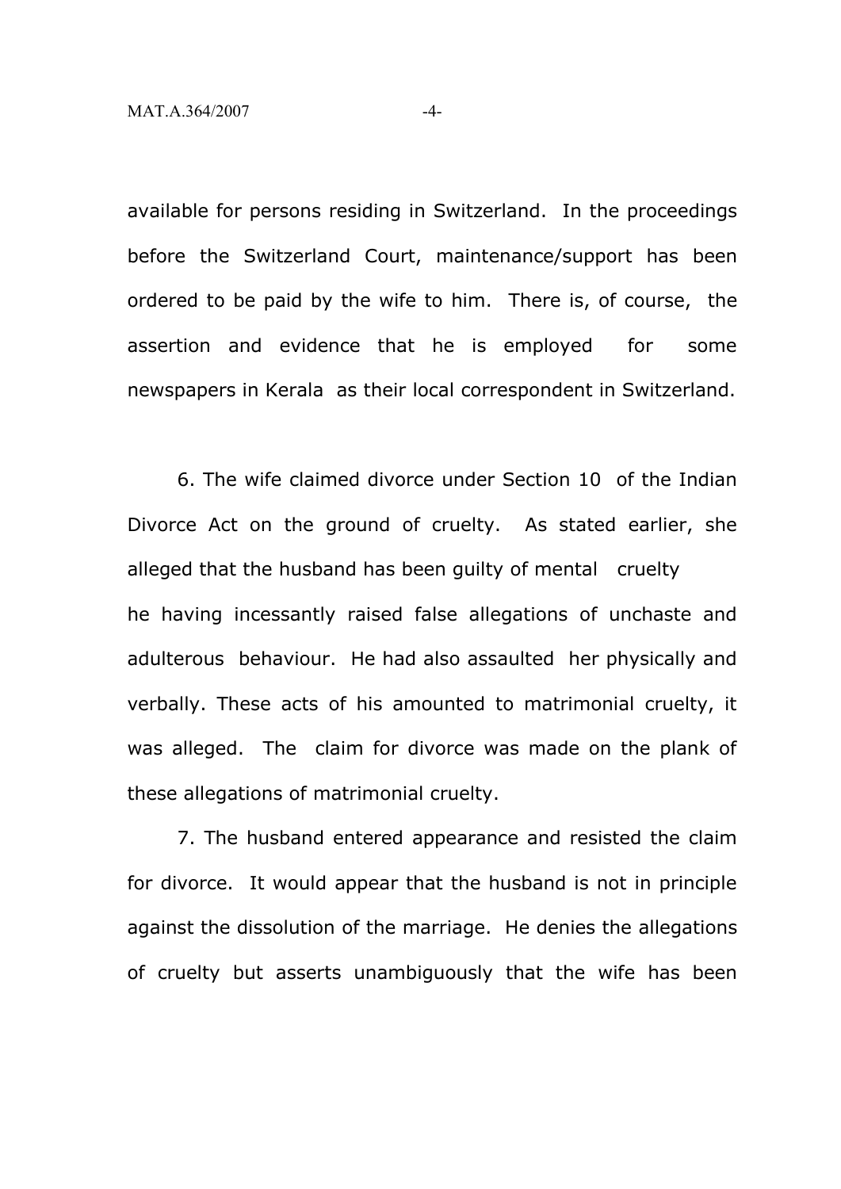available for persons residing in Switzerland. In the proceedings before the Switzerland Court, maintenance/support has been ordered to be paid by the wife to him. There is, of course, the assertion and evidence that he is employed for some newspapers in Kerala as their local correspondent in Switzerland.

6. The wife claimed divorce under Section 10 of the Indian Divorce Act on the ground of cruelty. As stated earlier, she alleged that the husband has been guilty of mental cruelty he having incessantly raised false allegations of unchaste and adulterous behaviour. He had also assaulted her physically and verbally. These acts of his amounted to matrimonial cruelty, it was alleged. The claim for divorce was made on the plank of these allegations of matrimonial cruelty.

7. The husband entered appearance and resisted the claim for divorce. It would appear that the husband is not in principle against the dissolution of the marriage. He denies the allegations of cruelty but asserts unambiguously that the wife has been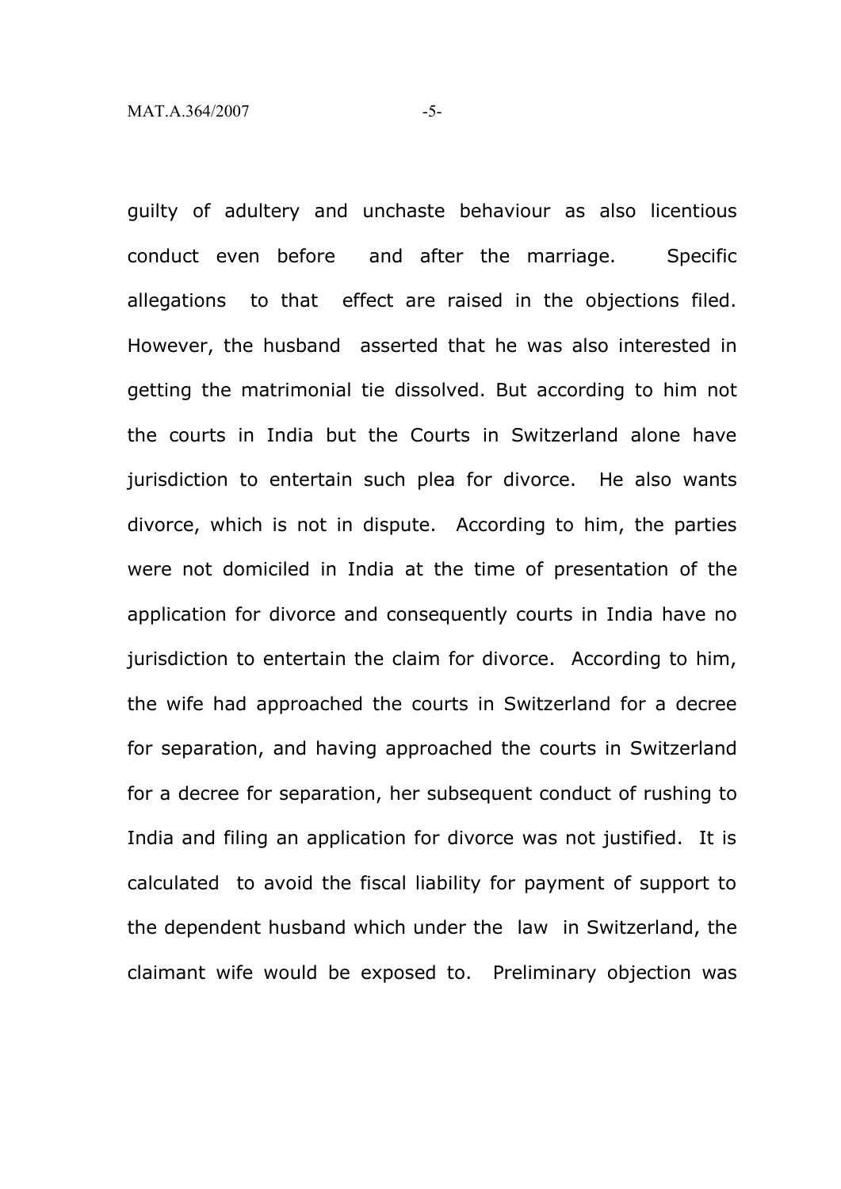guilty of adultery and unchaste behaviour as also licentious conduct even before and after the marriage. Specific allegations to that effect are raised in the objections filed. However, the husband asserted that he was also interested in getting the matrimonial tie dissolved. But according to him not the courts in India but the Courts in Switzerland alone have jurisdiction to entertain such plea for divorce. He also wants divorce, which is not in dispute. According to him, the parties were not domiciled in India at the time of presentation of the application for divorce and consequently courts in India have no jurisdiction to entertain the claim for divorce. According to him, the wife had approached the courts in Switzerland for a decree for separation, and having approached the courts in Switzerland for a decree for separation, her subsequent conduct of rushing to India and filing an application for divorce was not justified. It is calculated to avoid the fiscal liability for payment of support to the dependent husband which under the law in Switzerland, the claimant wife would be exposed to. Preliminary objection was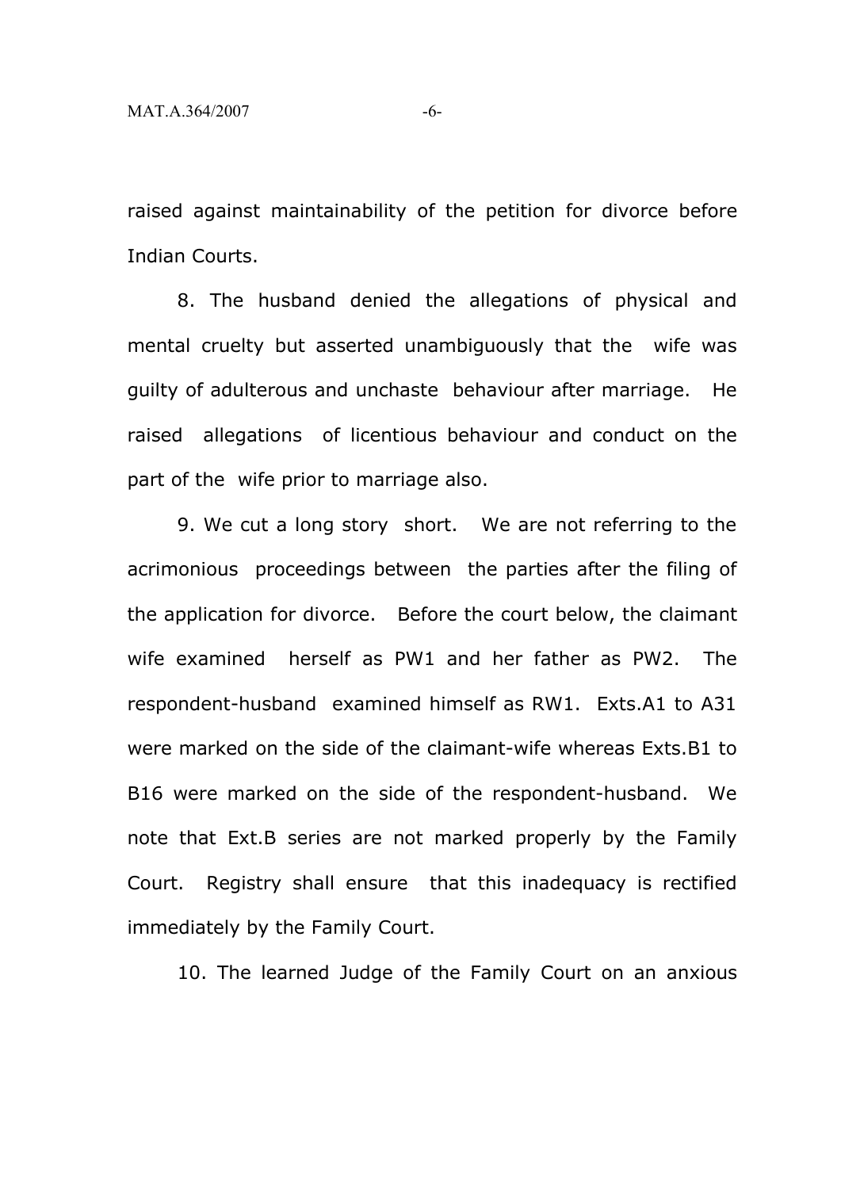raised against maintainability of the petition for divorce before Indian Courts.

8. The husband denied the allegations of physical and mental cruelty but asserted unambiguously that the wife was guilty of adulterous and unchaste behaviour after marriage. He raised allegations of licentious behaviour and conduct on the part of the wife prior to marriage also.

9. We cut a long story short. We are not referring to the acrimonious proceedings between the parties after the filing of the application for divorce. Before the court below, the claimant wife examined herself as PW1 and her father as PW2. The respondent-husband examined himself as RW1. Exts.A1 to A31 were marked on the side of the claimant-wife whereas Exts.B1 to B16 were marked on the side of the respondent-husband. We note that Ext.B series are not marked properly by the Family Court. Registry shall ensure that this inadequacy is rectified immediately by the Family Court.

10. The learned Judge of the Family Court on an anxious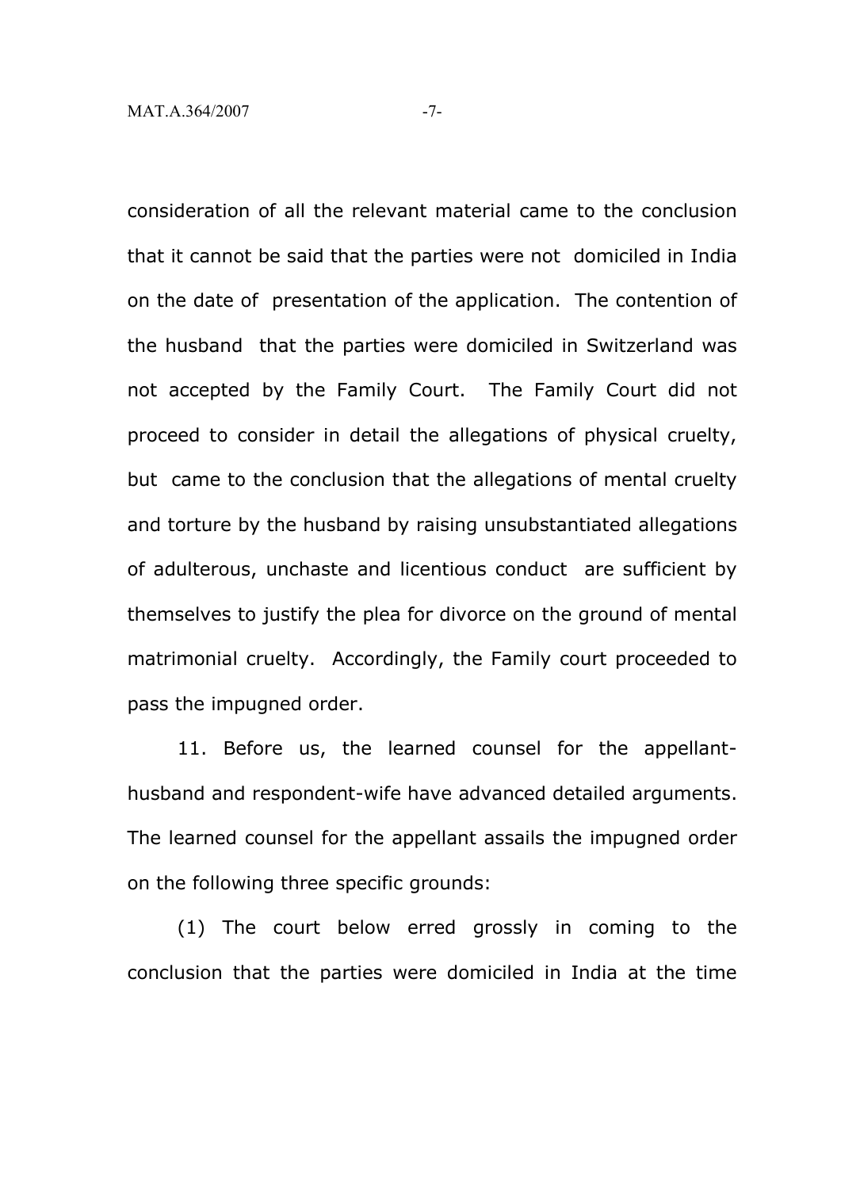consideration of all the relevant material came to the conclusion that it cannot be said that the parties were not domiciled in India on the date of presentation of the application. The contention of the husband that the parties were domiciled in Switzerland was not accepted by the Family Court. The Family Court did not proceed to consider in detail the allegations of physical cruelty, but came to the conclusion that the allegations of mental cruelty and torture by the husband by raising unsubstantiated allegations of adulterous, unchaste and licentious conduct are sufficient by themselves to justify the plea for divorce on the ground of mental matrimonial cruelty. Accordingly, the Family court proceeded to pass the impugned order.

11. Before us, the learned counsel for the appellanthusband and respondent-wife have advanced detailed arguments. The learned counsel for the appellant assails the impugned order on the following three specific grounds:

(1) The court below erred grossly in coming to the conclusion that the parties were domiciled in India at the time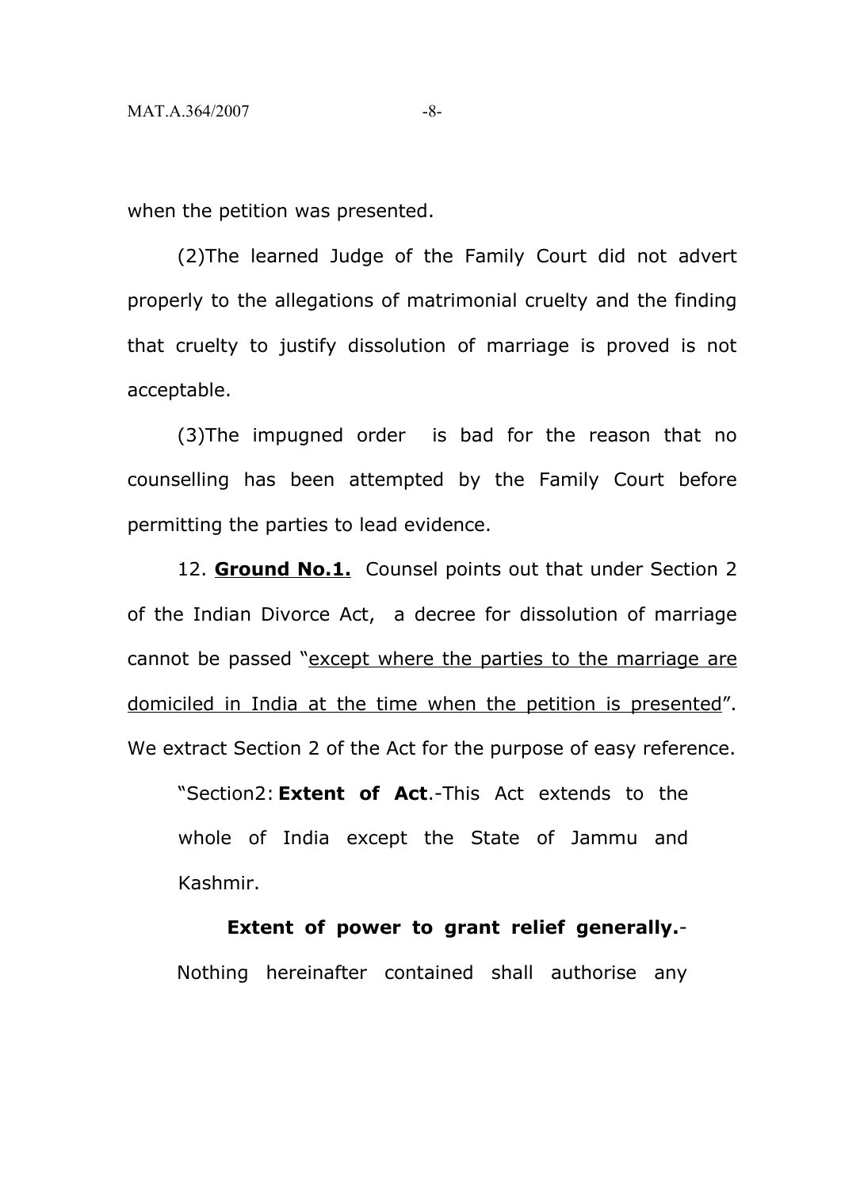when the petition was presented.

(2)The learned Judge of the Family Court did not advert properly to the allegations of matrimonial cruelty and the finding that cruelty to justify dissolution of marriage is proved is not acceptable.

(3)The impugned order is bad for the reason that no counselling has been attempted by the Family Court before permitting the parties to lead evidence.

12. **Ground No.1.** Counsel points out that under Section 2 of the Indian Divorce Act, a decree for dissolution of marriage cannot be passed "except where the parties to the marriage are domiciled in India at the time when the petition is presented". We extract Section 2 of the Act for the purpose of easy reference.

"Section2: **Extent of Act**.-This Act extends to the whole of India except the State of Jammu and Kashmir.

**Extent of power to grant relief generally.**- Nothing hereinafter contained shall authorise any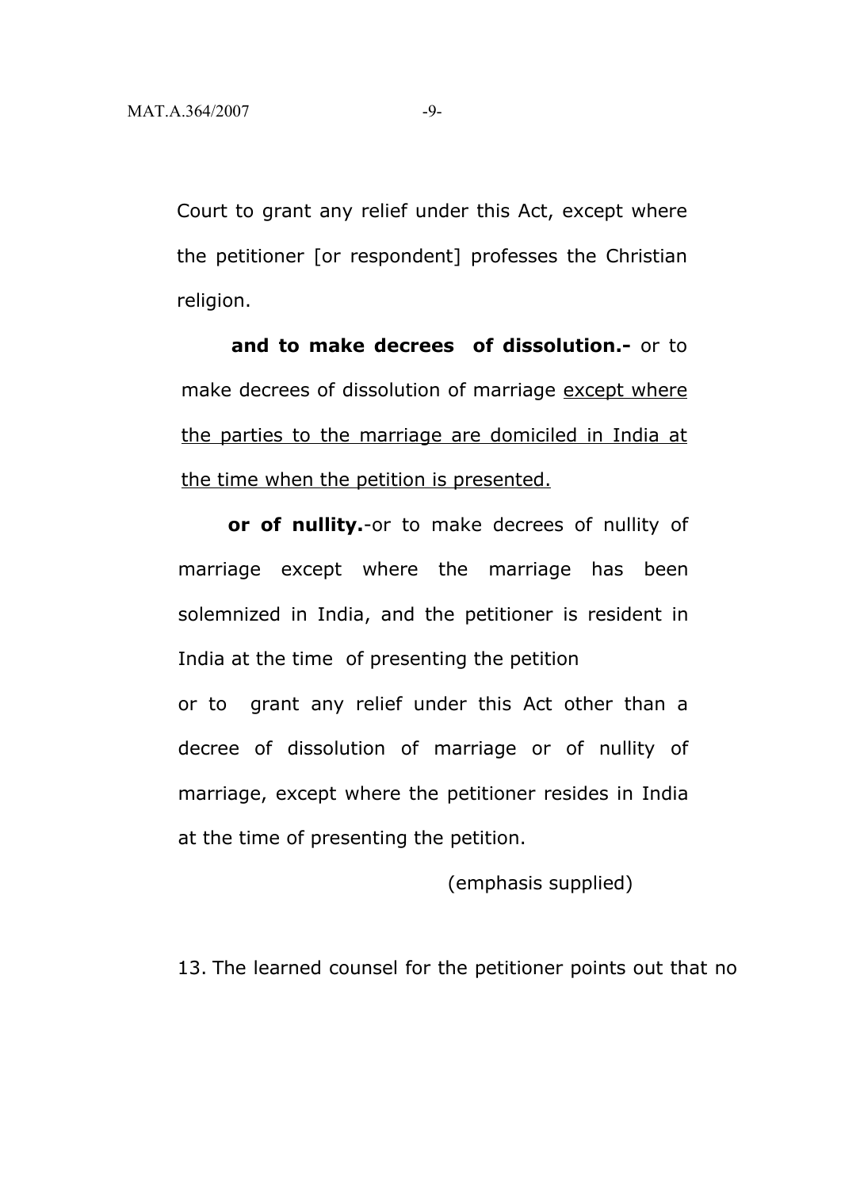Court to grant any relief under this Act, except where the petitioner [or respondent] professes the Christian religion.

**and to make decrees of dissolution.-** or to make decrees of dissolution of marriage except where the parties to the marriage are domiciled in India at the time when the petition is presented.

**or of nullity.**-or to make decrees of nullity of marriage except where the marriage has been solemnized in India, and the petitioner is resident in India at the time of presenting the petition or to grant any relief under this Act other than a decree of dissolution of marriage or of nullity of marriage, except where the petitioner resides in India at the time of presenting the petition.

(emphasis supplied)

13. The learned counsel for the petitioner points out that no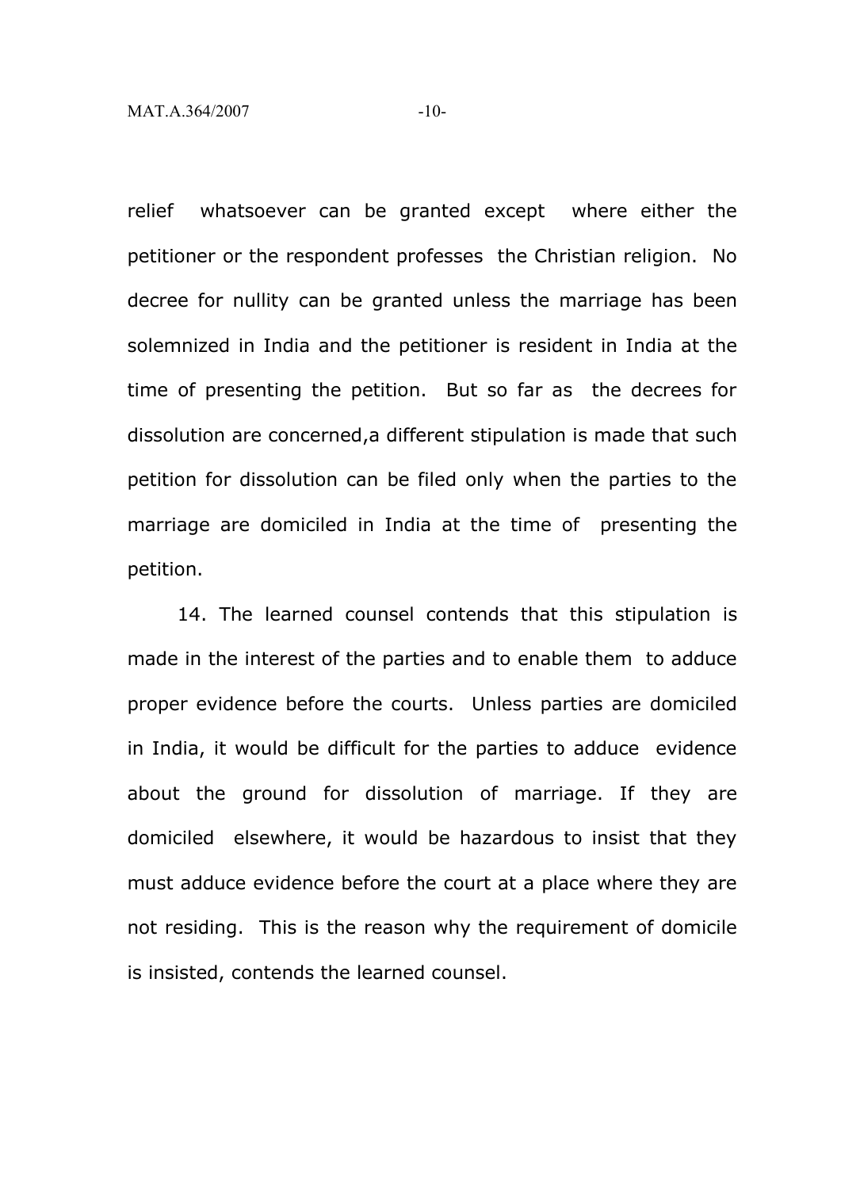relief whatsoever can be granted except where either the petitioner or the respondent professes the Christian religion. No decree for nullity can be granted unless the marriage has been solemnized in India and the petitioner is resident in India at the time of presenting the petition. But so far as the decrees for dissolution are concerned,a different stipulation is made that such petition for dissolution can be filed only when the parties to the marriage are domiciled in India at the time of presenting the petition.

14. The learned counsel contends that this stipulation is made in the interest of the parties and to enable them to adduce proper evidence before the courts. Unless parties are domiciled in India, it would be difficult for the parties to adduce evidence about the ground for dissolution of marriage. If they are domiciled elsewhere, it would be hazardous to insist that they must adduce evidence before the court at a place where they are not residing. This is the reason why the requirement of domicile is insisted, contends the learned counsel.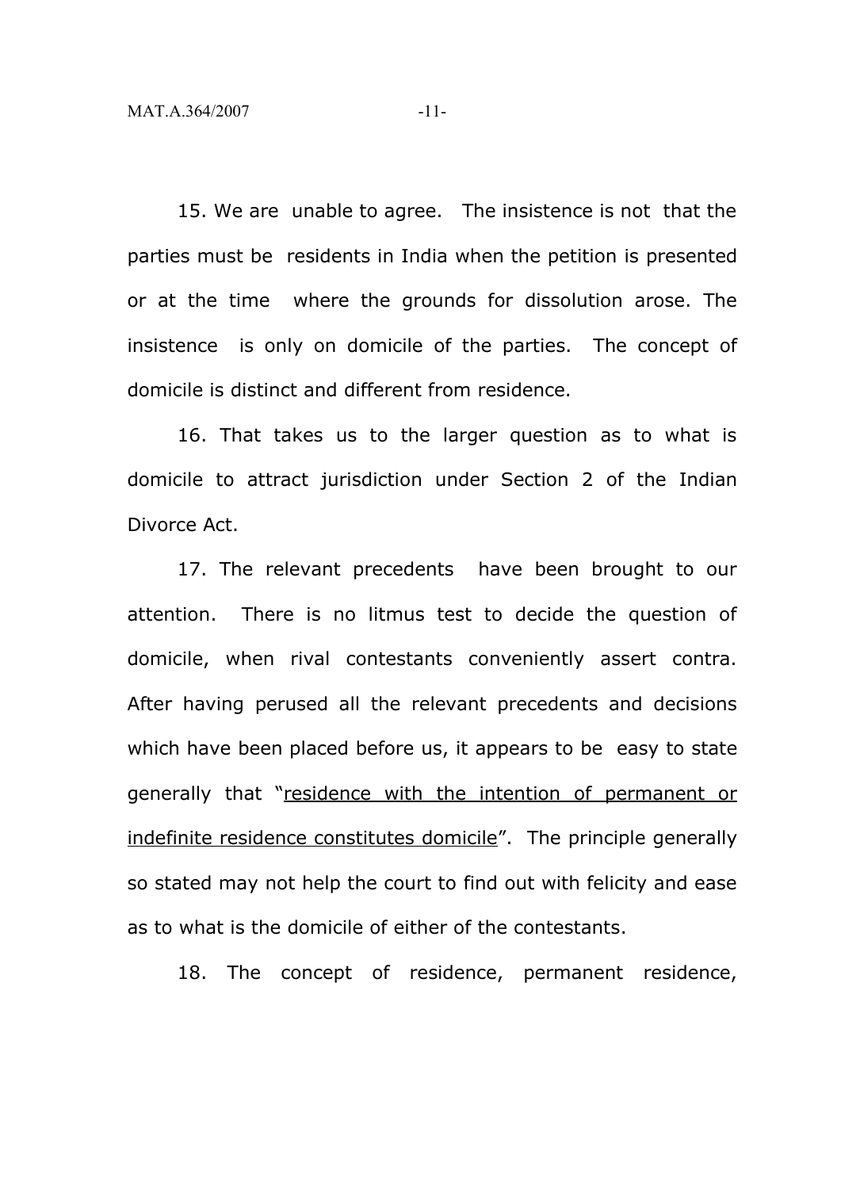15. We are unable to agree. The insistence is not that the parties must be residents in India when the petition is presented or at the time where the grounds for dissolution arose. The insistence is only on domicile of the parties. The concept of domicile is distinct and different from residence.

16. That takes us to the larger question as to what is domicile to attract jurisdiction under Section 2 of the Indian Divorce Act.

17. The relevant precedents have been brought to our attention. There is no litmus test to decide the question of domicile, when rival contestants conveniently assert contra. After having perused all the relevant precedents and decisions which have been placed before us, it appears to be easy to state generally that "residence with the intention of permanent or indefinite residence constitutes domicile". The principle generally so stated may not help the court to find out with felicity and ease as to what is the domicile of either of the contestants.

18. The concept of residence, permanent residence,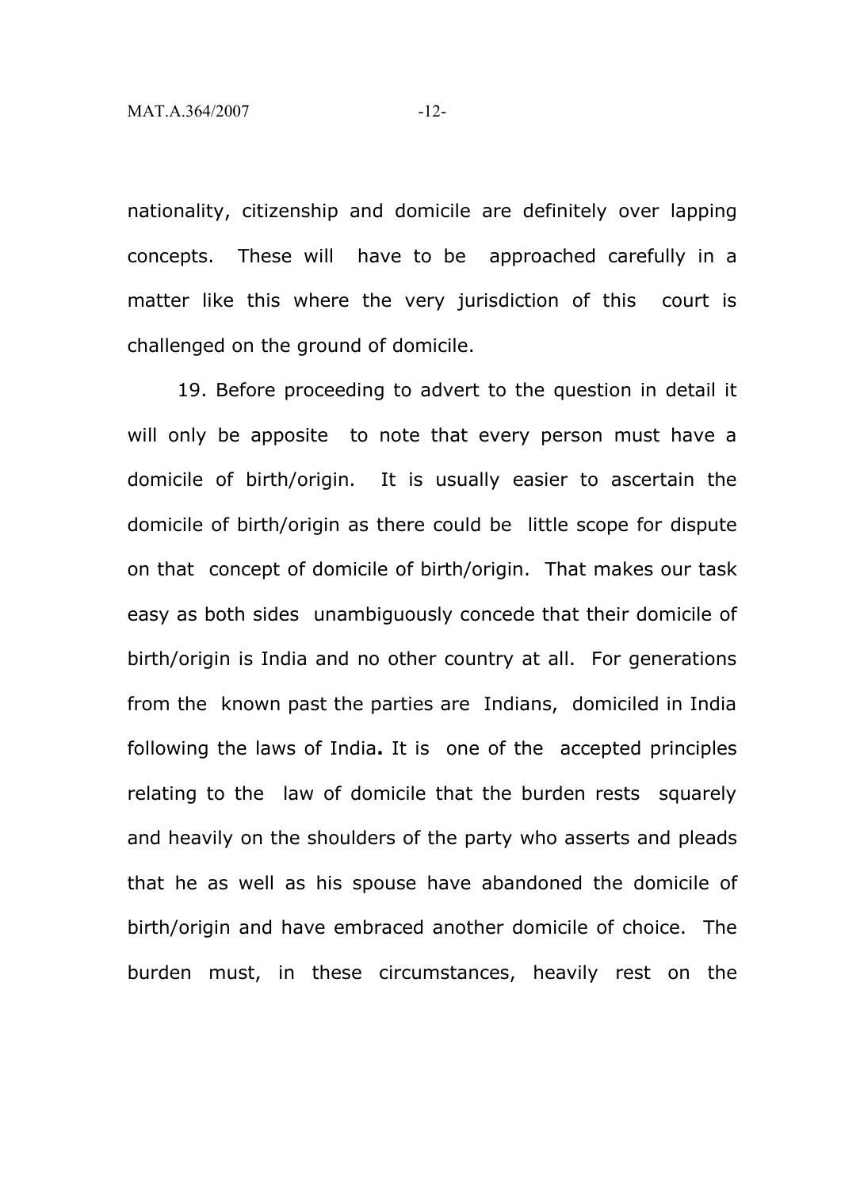nationality, citizenship and domicile are definitely over lapping concepts. These will have to be approached carefully in a matter like this where the very jurisdiction of this court is challenged on the ground of domicile.

19. Before proceeding to advert to the question in detail it will only be apposite to note that every person must have a domicile of birth/origin. It is usually easier to ascertain the domicile of birth/origin as there could be little scope for dispute on that concept of domicile of birth/origin. That makes our task easy as both sides unambiguously concede that their domicile of birth/origin is India and no other country at all. For generations from the known past the parties are Indians, domiciled in India following the laws of India**.** It is one of the accepted principles relating to the law of domicile that the burden rests squarely and heavily on the shoulders of the party who asserts and pleads that he as well as his spouse have abandoned the domicile of birth/origin and have embraced another domicile of choice. The burden must, in these circumstances, heavily rest on the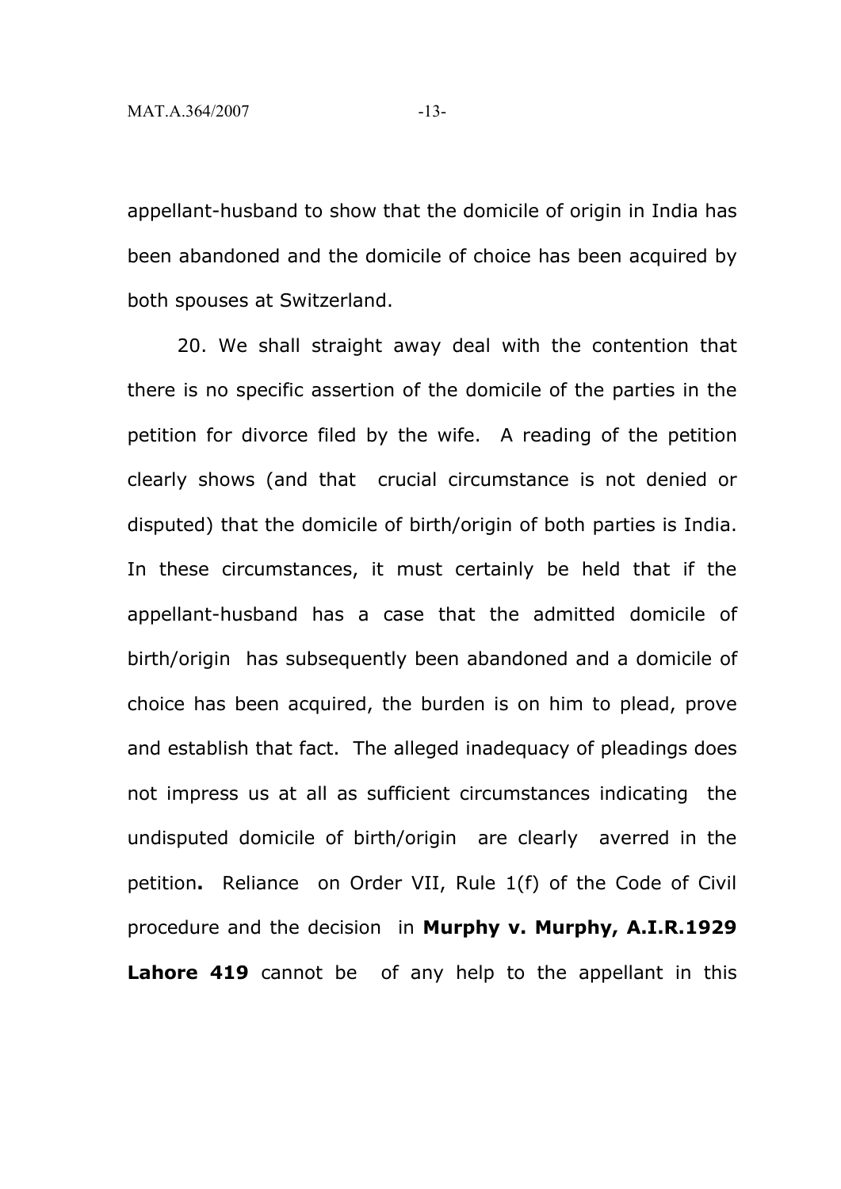appellant-husband to show that the domicile of origin in India has been abandoned and the domicile of choice has been acquired by both spouses at Switzerland.

20. We shall straight away deal with the contention that there is no specific assertion of the domicile of the parties in the petition for divorce filed by the wife. A reading of the petition clearly shows (and that crucial circumstance is not denied or disputed) that the domicile of birth/origin of both parties is India. In these circumstances, it must certainly be held that if the appellant-husband has a case that the admitted domicile of birth/origin has subsequently been abandoned and a domicile of choice has been acquired, the burden is on him to plead, prove and establish that fact. The alleged inadequacy of pleadings does not impress us at all as sufficient circumstances indicating the undisputed domicile of birth/origin are clearly averred in the petition**.** Reliance on Order VII, Rule 1(f) of the Code of Civil procedure and the decision in **Murphy v. Murphy, A.I.R.1929 Lahore 419** cannot be of any help to the appellant in this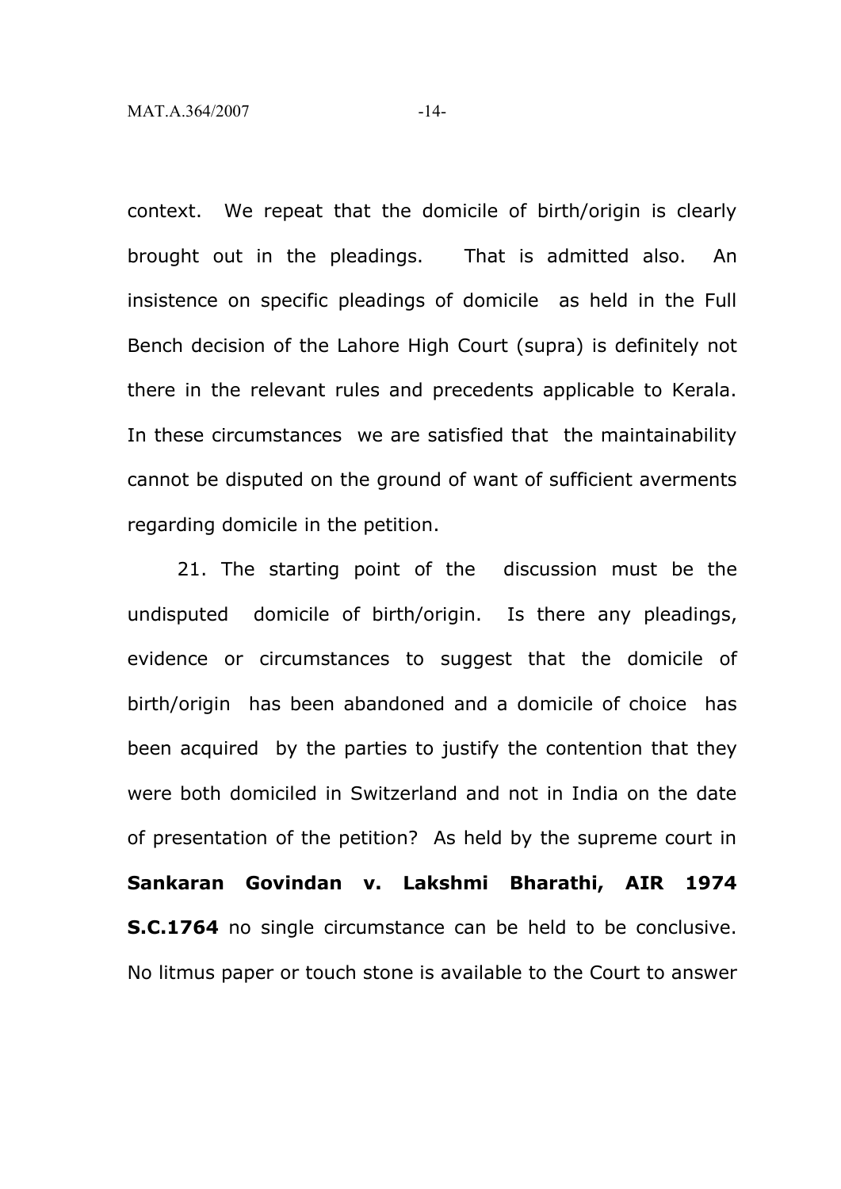context. We repeat that the domicile of birth/origin is clearly brought out in the pleadings. That is admitted also. An insistence on specific pleadings of domicile as held in the Full Bench decision of the Lahore High Court (supra) is definitely not there in the relevant rules and precedents applicable to Kerala. In these circumstances we are satisfied that the maintainability cannot be disputed on the ground of want of sufficient averments regarding domicile in the petition.

21. The starting point of the discussion must be the undisputed domicile of birth/origin. Is there any pleadings, evidence or circumstances to suggest that the domicile of birth/origin has been abandoned and a domicile of choice has been acquired by the parties to justify the contention that they were both domiciled in Switzerland and not in India on the date of presentation of the petition? As held by the supreme court in **Sankaran Govindan v. Lakshmi Bharathi, AIR 1974 S.C.1764** no single circumstance can be held to be conclusive. No litmus paper or touch stone is available to the Court to answer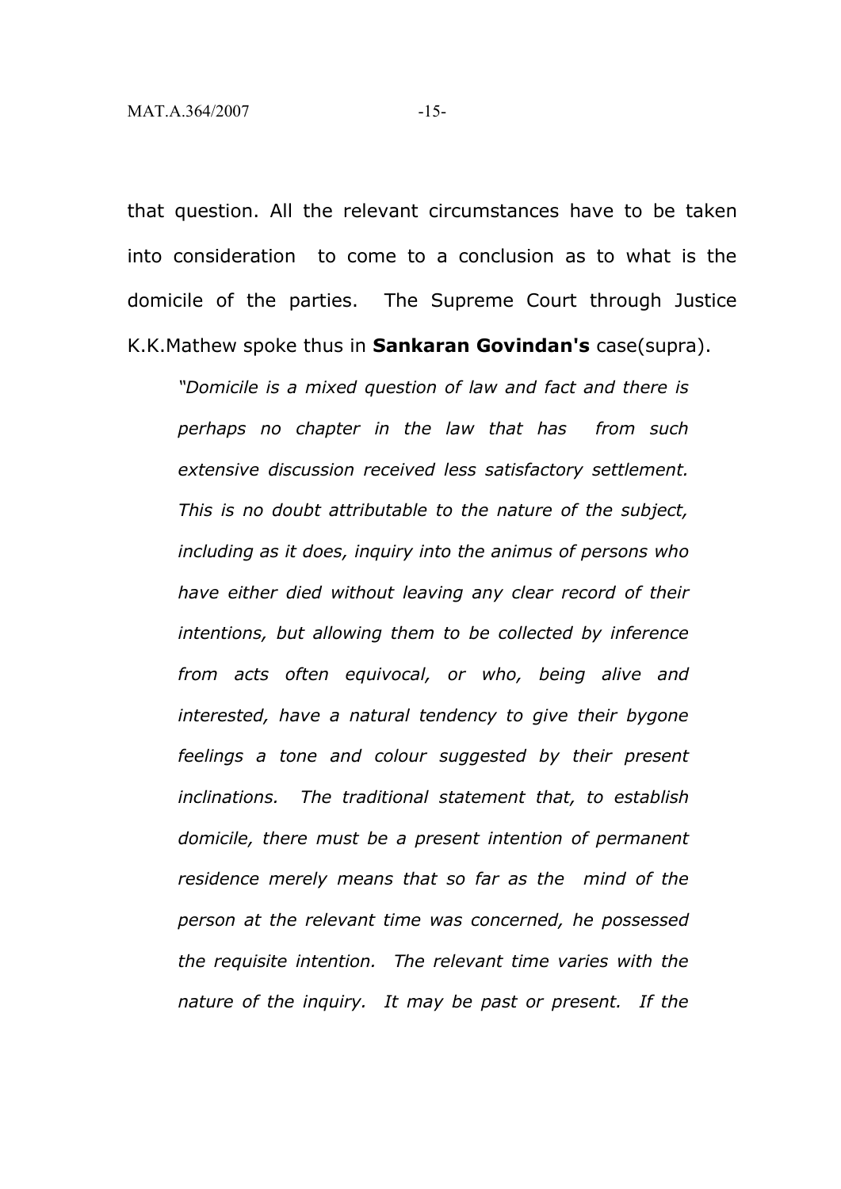that question. All the relevant circumstances have to be taken into consideration to come to a conclusion as to what is the domicile of the parties. The Supreme Court through Justice K.K.Mathew spoke thus in **Sankaran Govindan's** case(supra).

*"Domicile is a mixed question of law and fact and there is perhaps no chapter in the law that has from such extensive discussion received less satisfactory settlement. This is no doubt attributable to the nature of the subject, including as it does, inquiry into the animus of persons who have either died without leaving any clear record of their intentions, but allowing them to be collected by inference from acts often equivocal, or who, being alive and interested, have a natural tendency to give their bygone feelings a tone and colour suggested by their present inclinations. The traditional statement that, to establish domicile, there must be a present intention of permanent residence merely means that so far as the mind of the person at the relevant time was concerned, he possessed the requisite intention. The relevant time varies with the nature of the inquiry. It may be past or present. If the*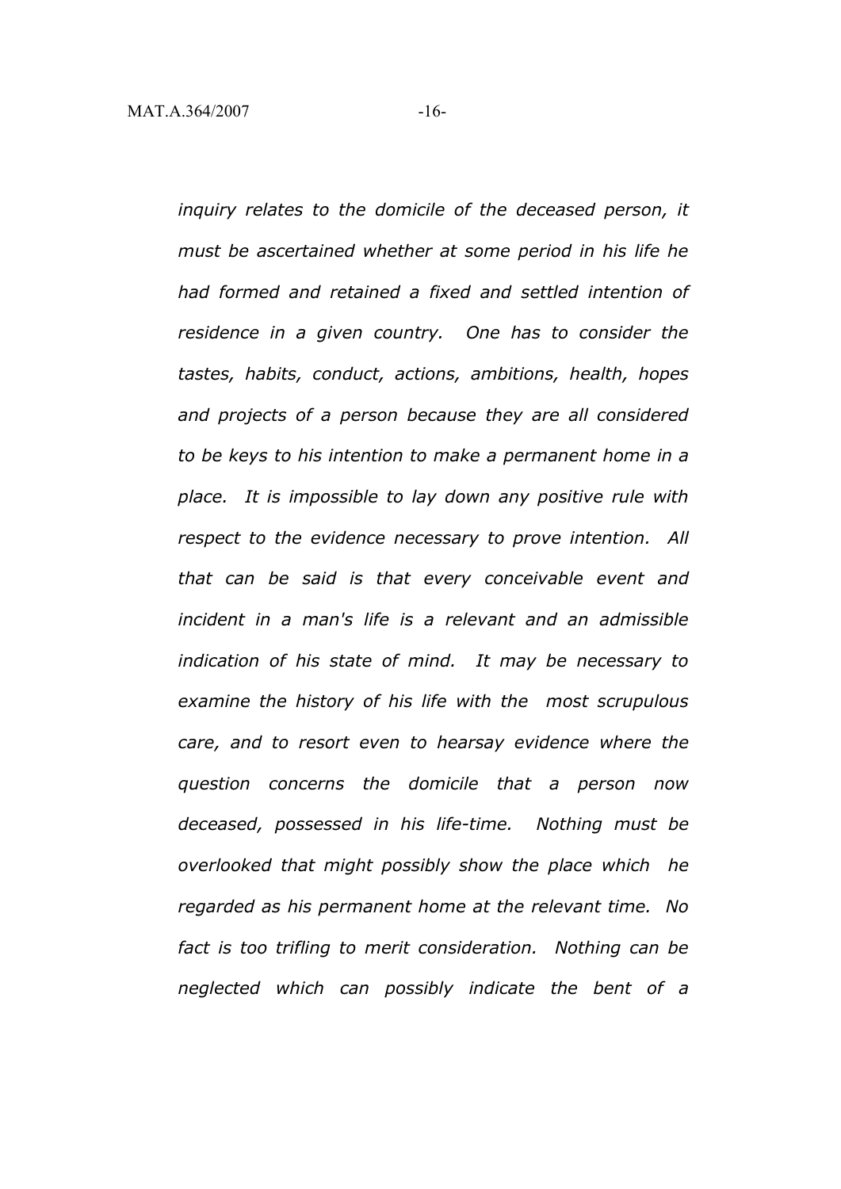*inquiry relates to the domicile of the deceased person, it must be ascertained whether at some period in his life he had formed and retained a fixed and settled intention of residence in a given country. One has to consider the tastes, habits, conduct, actions, ambitions, health, hopes and projects of a person because they are all considered to be keys to his intention to make a permanent home in a place. It is impossible to lay down any positive rule with respect to the evidence necessary to prove intention. All that can be said is that every conceivable event and incident in a man's life is a relevant and an admissible indication of his state of mind. It may be necessary to examine the history of his life with the most scrupulous care, and to resort even to hearsay evidence where the question concerns the domicile that a person now deceased, possessed in his life-time. Nothing must be overlooked that might possibly show the place which he regarded as his permanent home at the relevant time. No fact is too trifling to merit consideration. Nothing can be neglected which can possibly indicate the bent of a*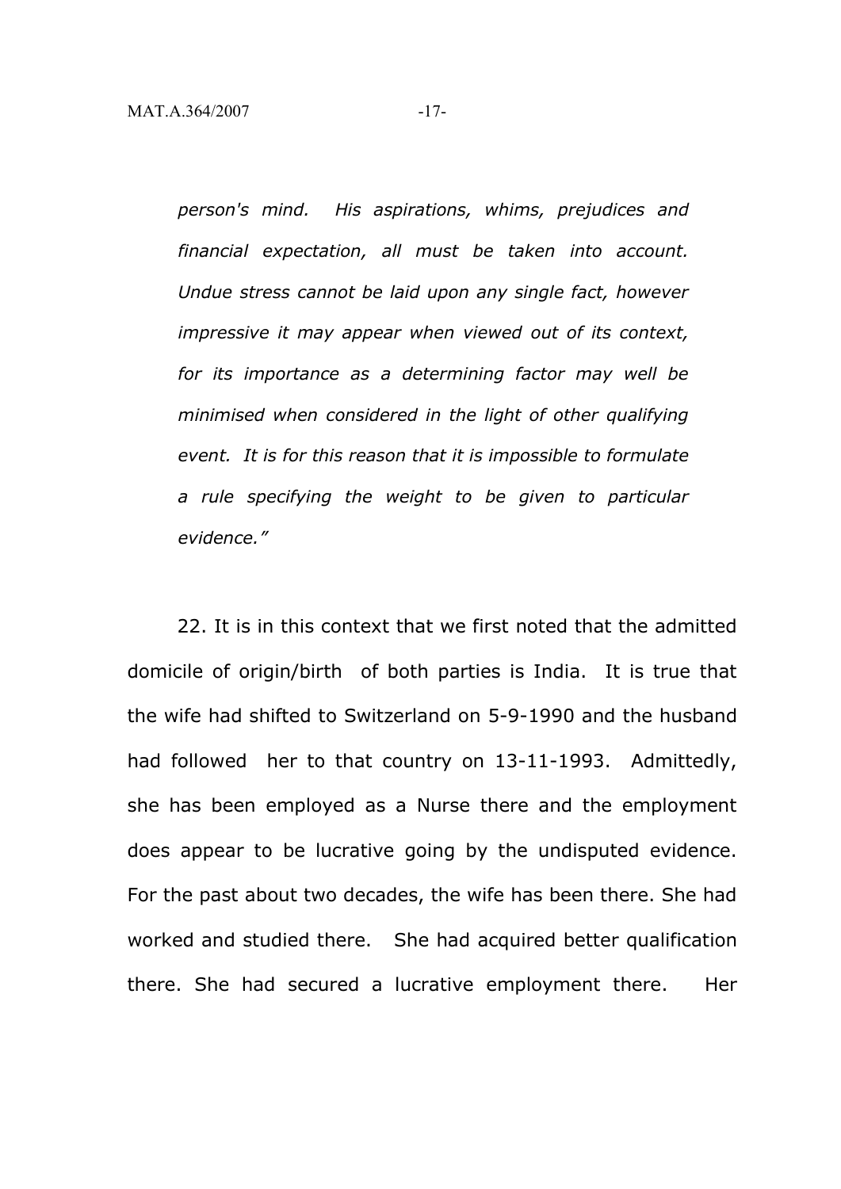*person's mind. His aspirations, whims, prejudices and financial expectation, all must be taken into account. Undue stress cannot be laid upon any single fact, however impressive it may appear when viewed out of its context, for its importance as a determining factor may well be minimised when considered in the light of other qualifying event. It is for this reason that it is impossible to formulate a rule specifying the weight to be given to particular evidence."*

22. It is in this context that we first noted that the admitted domicile of origin/birth of both parties is India. It is true that the wife had shifted to Switzerland on 5-9-1990 and the husband had followed her to that country on 13-11-1993. Admittedly, she has been employed as a Nurse there and the employment does appear to be lucrative going by the undisputed evidence. For the past about two decades, the wife has been there. She had worked and studied there. She had acquired better qualification there. She had secured a lucrative employment there. Her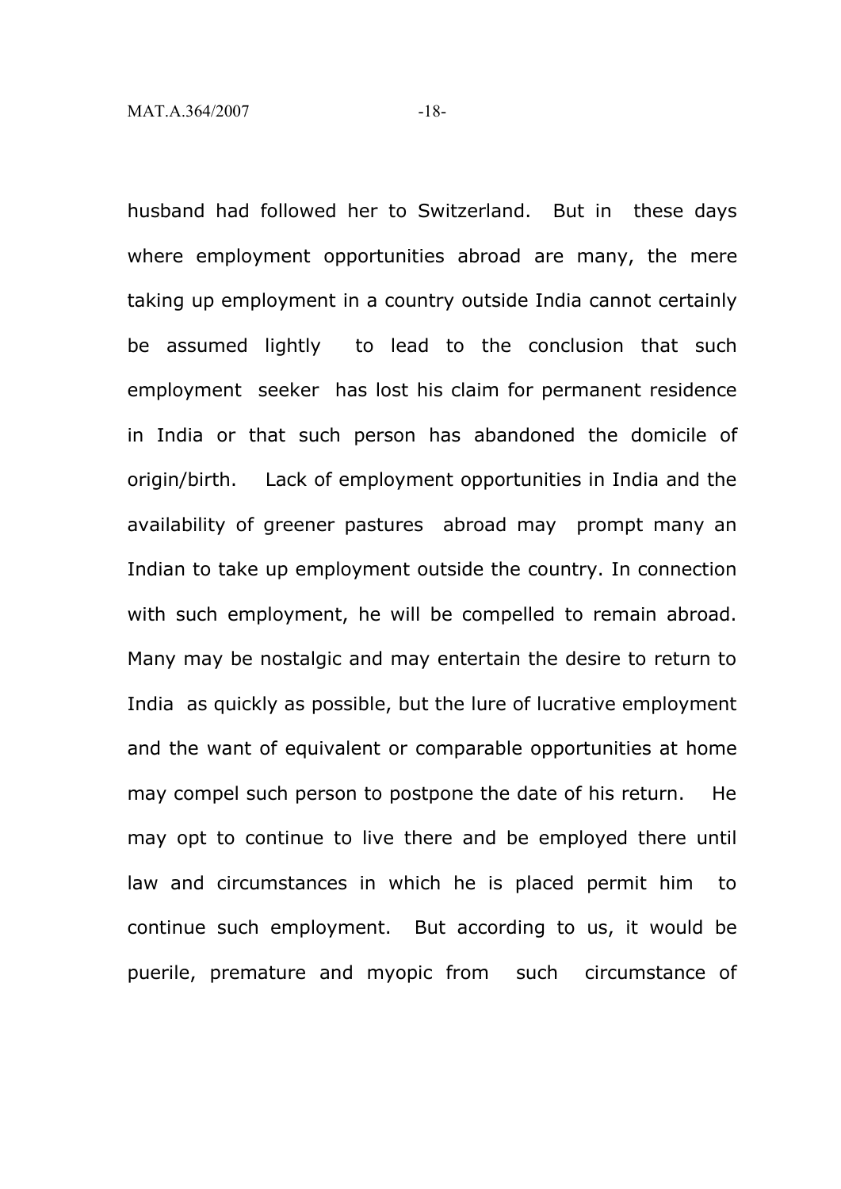husband had followed her to Switzerland. But in these days where employment opportunities abroad are many, the mere taking up employment in a country outside India cannot certainly be assumed lightly to lead to the conclusion that such employment seeker has lost his claim for permanent residence in India or that such person has abandoned the domicile of origin/birth. Lack of employment opportunities in India and the availability of greener pastures abroad may prompt many an Indian to take up employment outside the country. In connection with such employment, he will be compelled to remain abroad. Many may be nostalgic and may entertain the desire to return to India as quickly as possible, but the lure of lucrative employment and the want of equivalent or comparable opportunities at home may compel such person to postpone the date of his return. He may opt to continue to live there and be employed there until law and circumstances in which he is placed permit him to continue such employment. But according to us, it would be puerile, premature and myopic from such circumstance of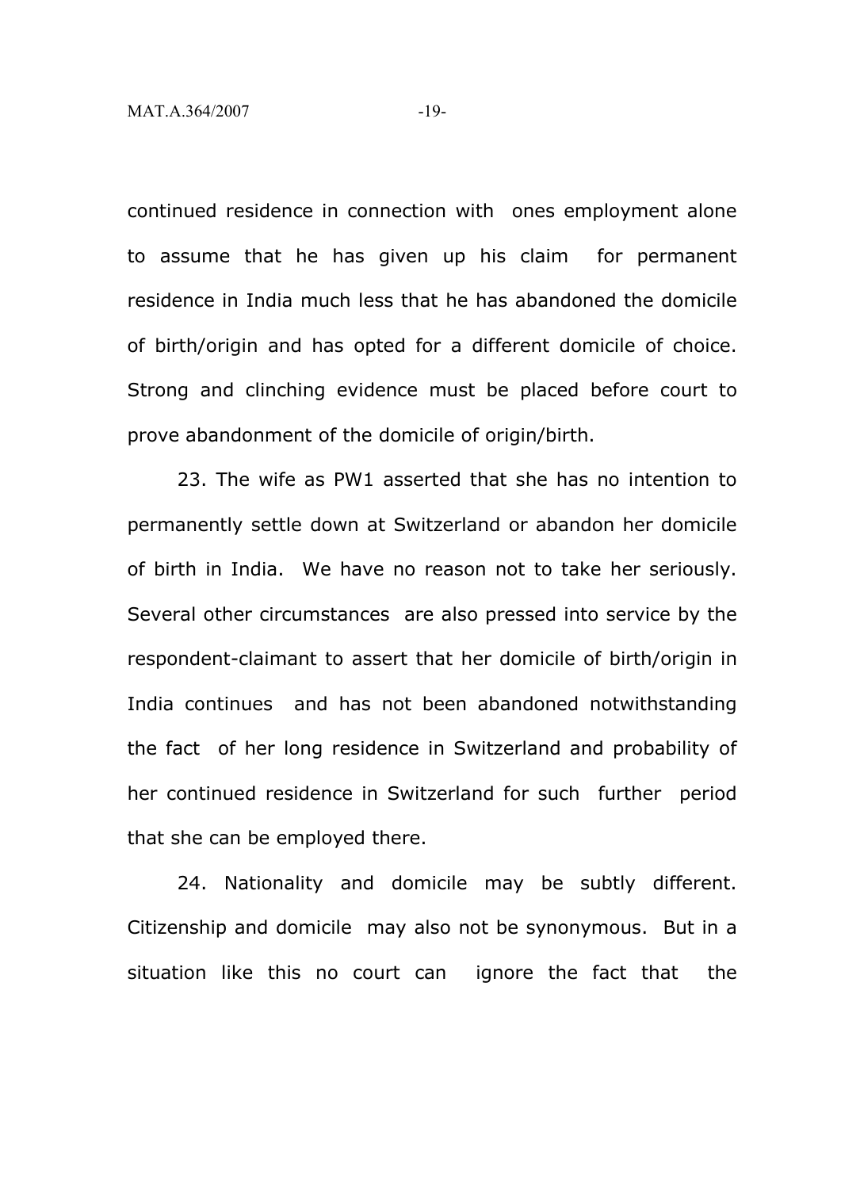continued residence in connection with ones employment alone to assume that he has given up his claim for permanent residence in India much less that he has abandoned the domicile of birth/origin and has opted for a different domicile of choice. Strong and clinching evidence must be placed before court to prove abandonment of the domicile of origin/birth.

23. The wife as PW1 asserted that she has no intention to permanently settle down at Switzerland or abandon her domicile of birth in India. We have no reason not to take her seriously. Several other circumstances are also pressed into service by the respondent-claimant to assert that her domicile of birth/origin in India continues and has not been abandoned notwithstanding the fact of her long residence in Switzerland and probability of her continued residence in Switzerland for such further period that she can be employed there.

24. Nationality and domicile may be subtly different. Citizenship and domicile may also not be synonymous. But in a situation like this no court can ignore the fact that the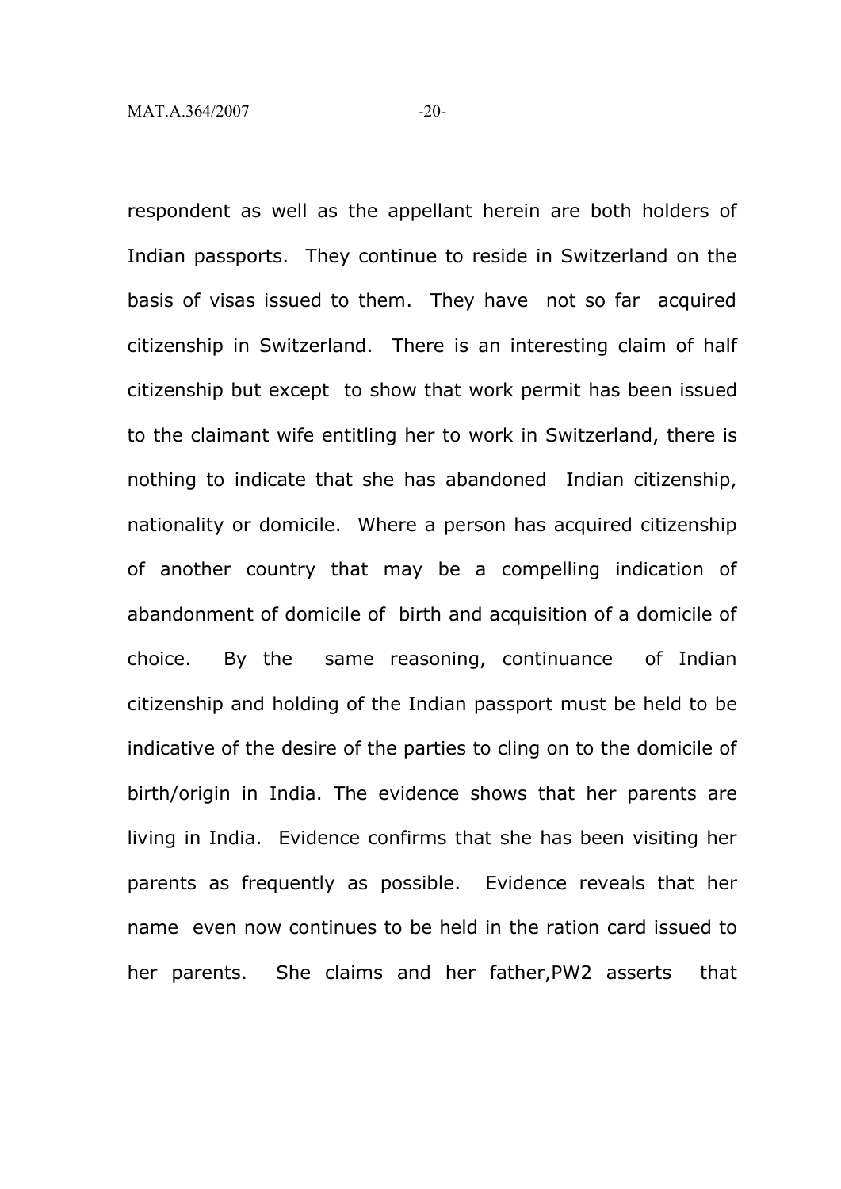respondent as well as the appellant herein are both holders of Indian passports. They continue to reside in Switzerland on the basis of visas issued to them. They have not so far acquired citizenship in Switzerland. There is an interesting claim of half citizenship but except to show that work permit has been issued to the claimant wife entitling her to work in Switzerland, there is nothing to indicate that she has abandoned Indian citizenship, nationality or domicile. Where a person has acquired citizenship of another country that may be a compelling indication of abandonment of domicile of birth and acquisition of a domicile of choice. By the same reasoning, continuance of Indian citizenship and holding of the Indian passport must be held to be indicative of the desire of the parties to cling on to the domicile of birth/origin in India. The evidence shows that her parents are living in India. Evidence confirms that she has been visiting her parents as frequently as possible. Evidence reveals that her name even now continues to be held in the ration card issued to her parents. She claims and her father,PW2 asserts that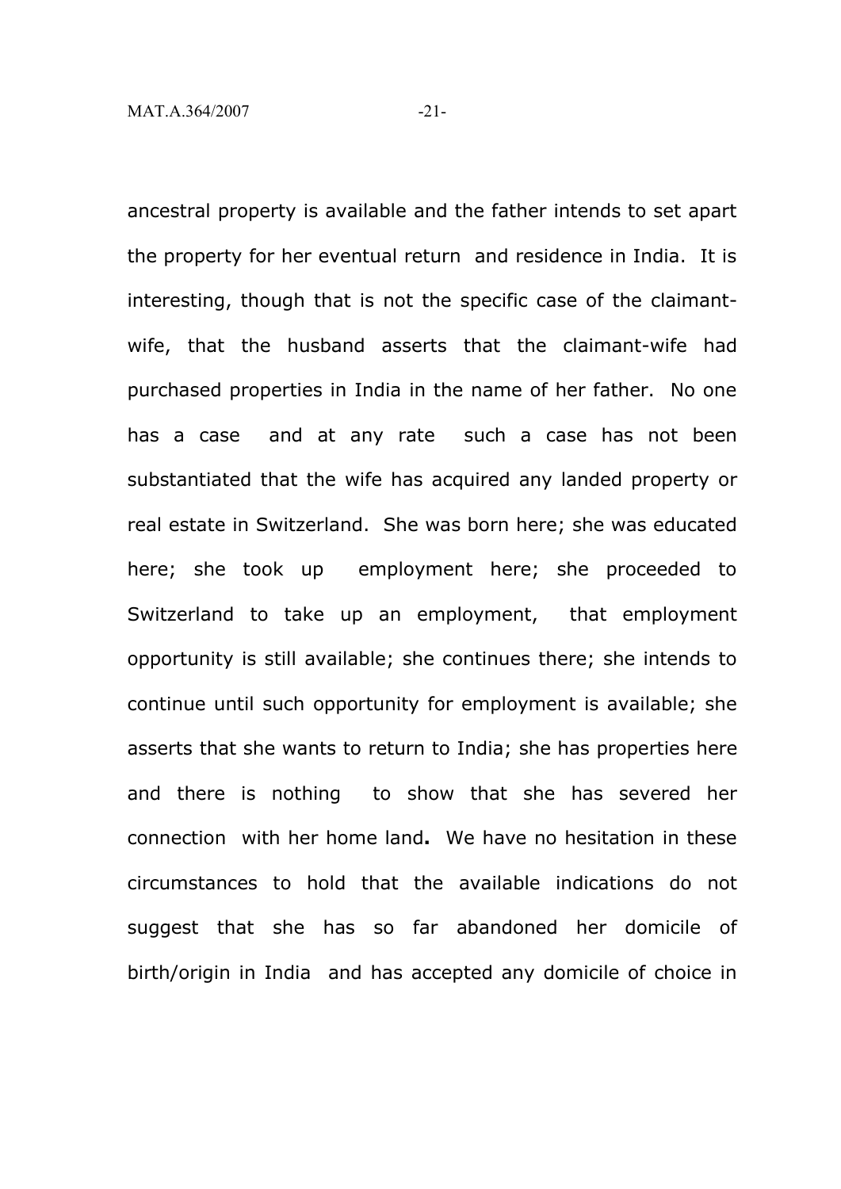ancestral property is available and the father intends to set apart the property for her eventual return and residence in India. It is interesting, though that is not the specific case of the claimantwife, that the husband asserts that the claimant-wife had purchased properties in India in the name of her father. No one has a case and at any rate such a case has not been substantiated that the wife has acquired any landed property or real estate in Switzerland. She was born here; she was educated here; she took up employment here; she proceeded to Switzerland to take up an employment, that employment opportunity is still available; she continues there; she intends to continue until such opportunity for employment is available; she asserts that she wants to return to India; she has properties here and there is nothing to show that she has severed her connection with her home land**.** We have no hesitation in these circumstances to hold that the available indications do not suggest that she has so far abandoned her domicile of birth/origin in India and has accepted any domicile of choice in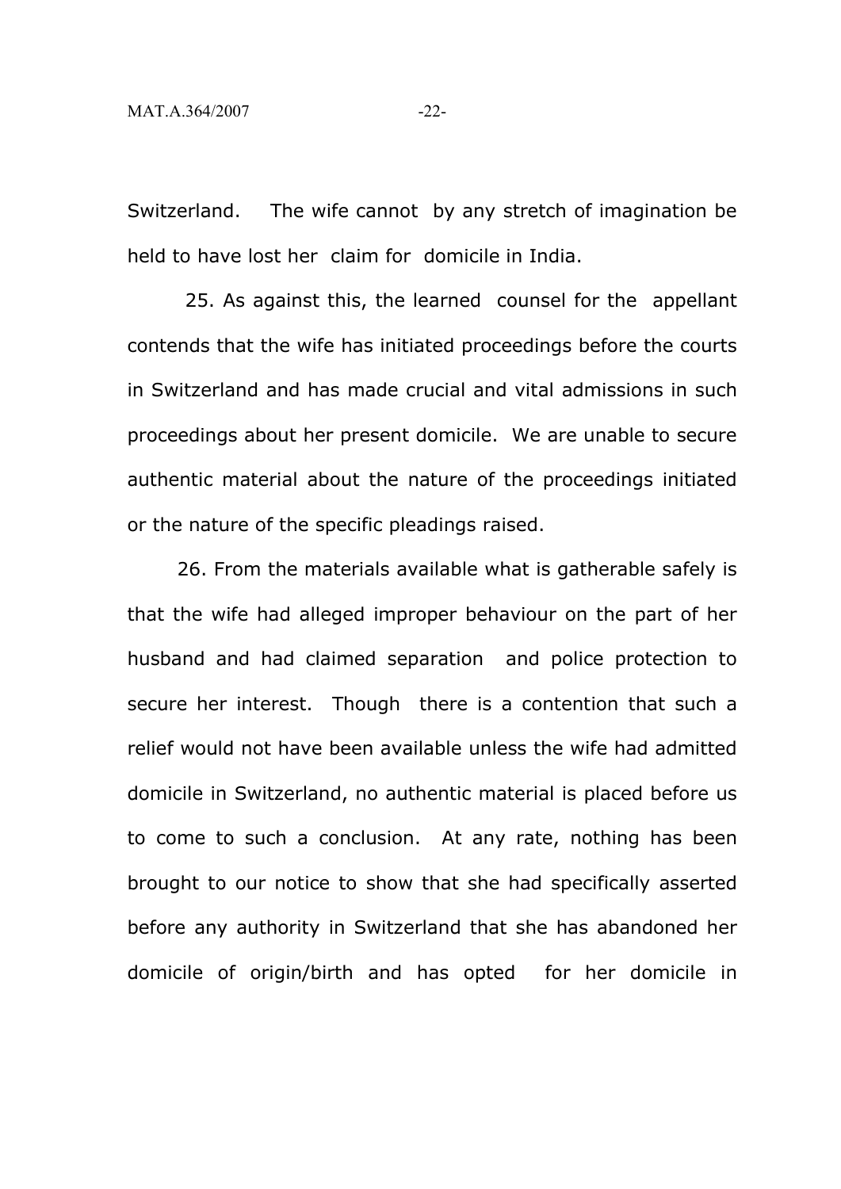Switzerland. The wife cannot by any stretch of imagination be held to have lost her claim for domicile in India.

25. As against this, the learned counsel for the appellant contends that the wife has initiated proceedings before the courts in Switzerland and has made crucial and vital admissions in such proceedings about her present domicile. We are unable to secure authentic material about the nature of the proceedings initiated or the nature of the specific pleadings raised.

26. From the materials available what is gatherable safely is that the wife had alleged improper behaviour on the part of her husband and had claimed separation and police protection to secure her interest. Though there is a contention that such a relief would not have been available unless the wife had admitted domicile in Switzerland, no authentic material is placed before us to come to such a conclusion. At any rate, nothing has been brought to our notice to show that she had specifically asserted before any authority in Switzerland that she has abandoned her domicile of origin/birth and has opted for her domicile in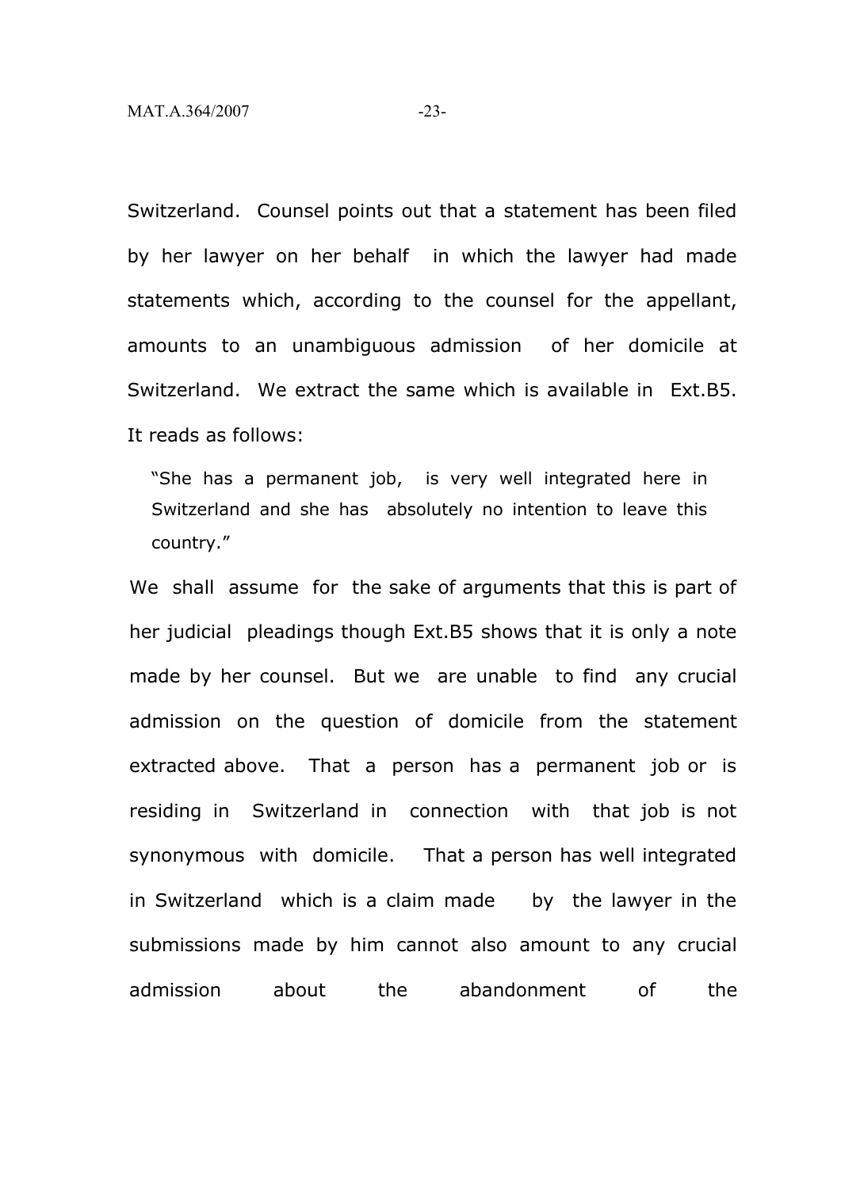Switzerland. Counsel points out that a statement has been filed by her lawyer on her behalf in which the lawyer had made statements which, according to the counsel for the appellant, amounts to an unambiguous admission of her domicile at Switzerland. We extract the same which is available in Ext.B5. It reads as follows:

"She has a permanent job, is very well integrated here in Switzerland and she has absolutely no intention to leave this country."

We shall assume for the sake of arguments that this is part of her judicial pleadings though Ext.B5 shows that it is only a note made by her counsel. But we are unable to find any crucial admission on the question of domicile from the statement extracted above. That a person has a permanent job or is residing in Switzerland in connection with that job is not synonymous with domicile. That a person has well integrated in Switzerland which is a claim made by the lawyer in the submissions made by him cannot also amount to any crucial admission about the abandonment of the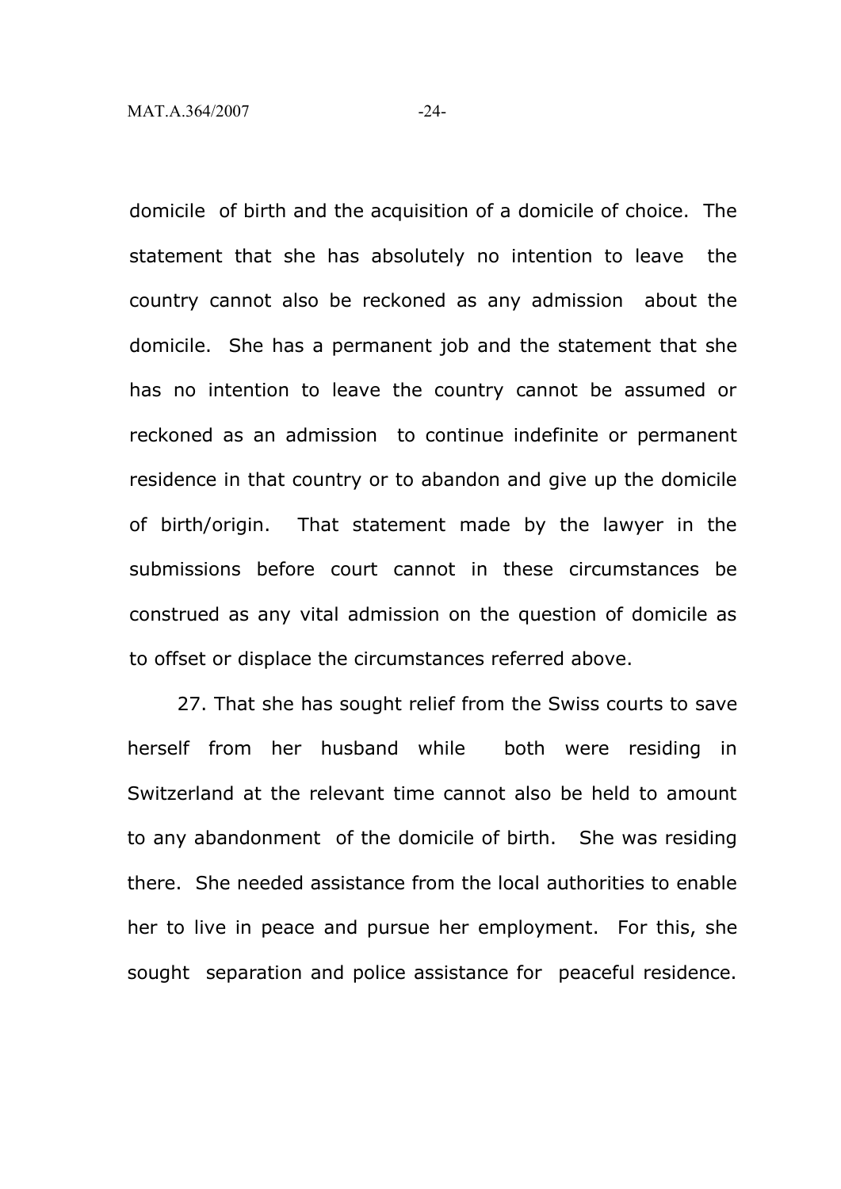domicile of birth and the acquisition of a domicile of choice. The statement that she has absolutely no intention to leave the country cannot also be reckoned as any admission about the domicile. She has a permanent job and the statement that she has no intention to leave the country cannot be assumed or reckoned as an admission to continue indefinite or permanent residence in that country or to abandon and give up the domicile of birth/origin. That statement made by the lawyer in the submissions before court cannot in these circumstances be construed as any vital admission on the question of domicile as to offset or displace the circumstances referred above.

27. That she has sought relief from the Swiss courts to save herself from her husband while both were residing in Switzerland at the relevant time cannot also be held to amount to any abandonment of the domicile of birth. She was residing there. She needed assistance from the local authorities to enable her to live in peace and pursue her employment. For this, she sought separation and police assistance for peaceful residence.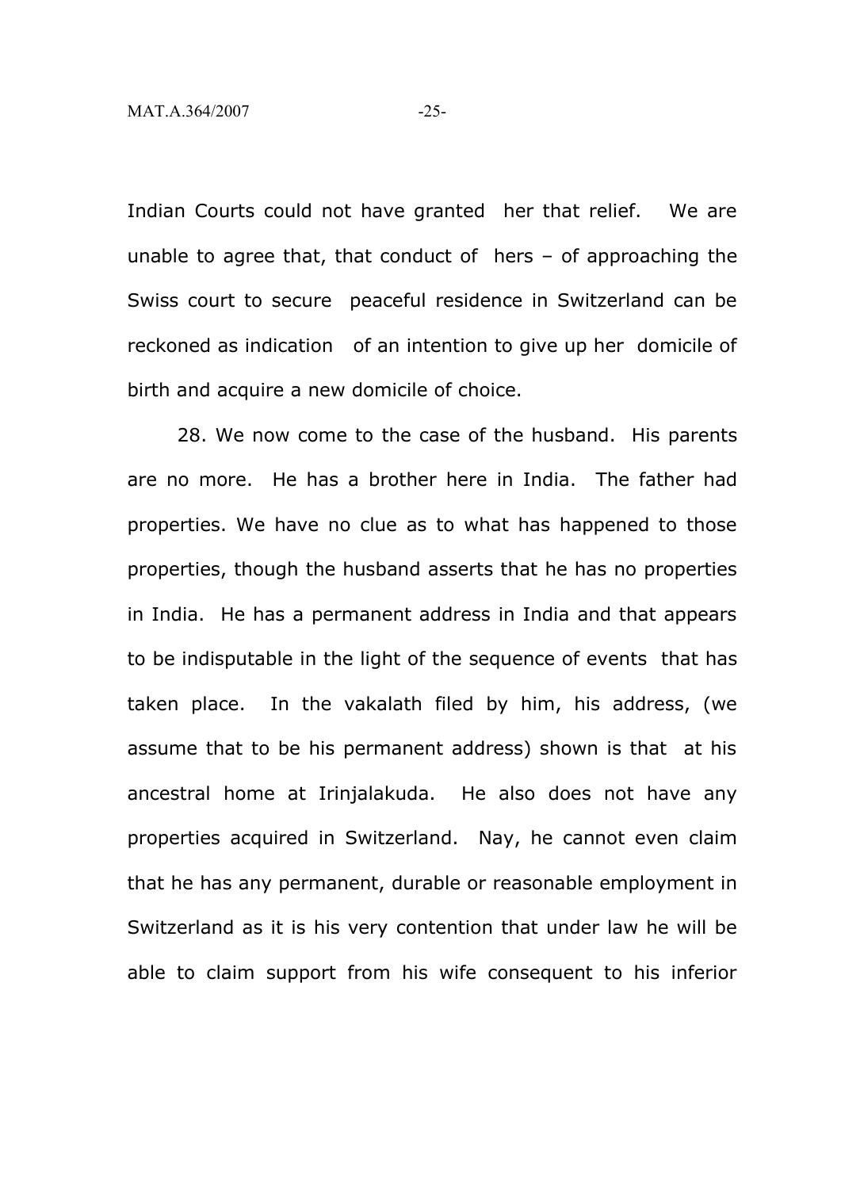Indian Courts could not have granted her that relief. We are unable to agree that, that conduct of hers – of approaching the Swiss court to secure peaceful residence in Switzerland can be reckoned as indication of an intention to give up her domicile of birth and acquire a new domicile of choice.

28. We now come to the case of the husband. His parents are no more. He has a brother here in India. The father had properties. We have no clue as to what has happened to those properties, though the husband asserts that he has no properties in India. He has a permanent address in India and that appears to be indisputable in the light of the sequence of events that has taken place. In the vakalath filed by him, his address, (we assume that to be his permanent address) shown is that at his ancestral home at Irinjalakuda. He also does not have any properties acquired in Switzerland. Nay, he cannot even claim that he has any permanent, durable or reasonable employment in Switzerland as it is his very contention that under law he will be able to claim support from his wife consequent to his inferior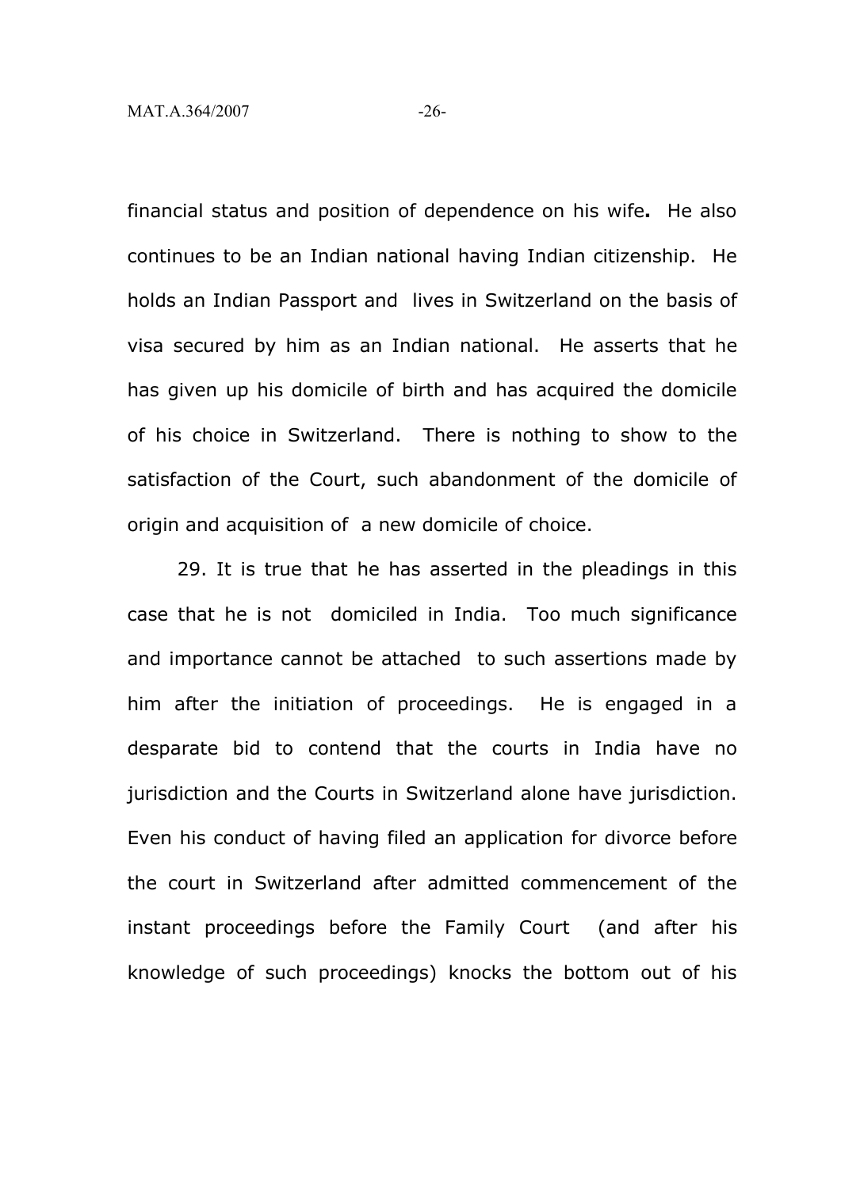financial status and position of dependence on his wife**.** He also continues to be an Indian national having Indian citizenship. He holds an Indian Passport and lives in Switzerland on the basis of visa secured by him as an Indian national. He asserts that he has given up his domicile of birth and has acquired the domicile of his choice in Switzerland. There is nothing to show to the satisfaction of the Court, such abandonment of the domicile of origin and acquisition of a new domicile of choice.

29. It is true that he has asserted in the pleadings in this case that he is not domiciled in India. Too much significance and importance cannot be attached to such assertions made by him after the initiation of proceedings. He is engaged in a desparate bid to contend that the courts in India have no jurisdiction and the Courts in Switzerland alone have jurisdiction. Even his conduct of having filed an application for divorce before the court in Switzerland after admitted commencement of the instant proceedings before the Family Court (and after his knowledge of such proceedings) knocks the bottom out of his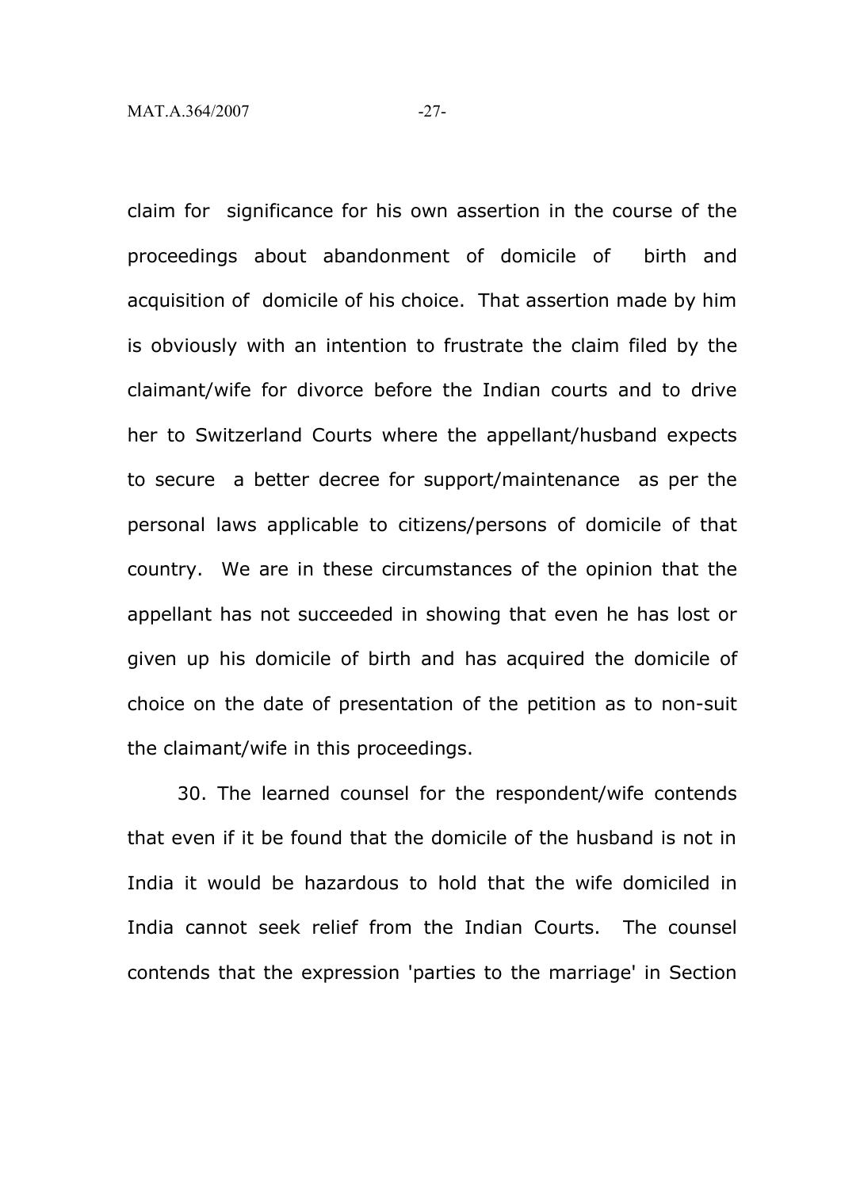claim for significance for his own assertion in the course of the proceedings about abandonment of domicile of birth and acquisition of domicile of his choice. That assertion made by him is obviously with an intention to frustrate the claim filed by the claimant/wife for divorce before the Indian courts and to drive her to Switzerland Courts where the appellant/husband expects to secure a better decree for support/maintenance as per the personal laws applicable to citizens/persons of domicile of that country. We are in these circumstances of the opinion that the appellant has not succeeded in showing that even he has lost or given up his domicile of birth and has acquired the domicile of choice on the date of presentation of the petition as to non-suit the claimant/wife in this proceedings.

30. The learned counsel for the respondent/wife contends that even if it be found that the domicile of the husband is not in India it would be hazardous to hold that the wife domiciled in India cannot seek relief from the Indian Courts. The counsel contends that the expression 'parties to the marriage' in Section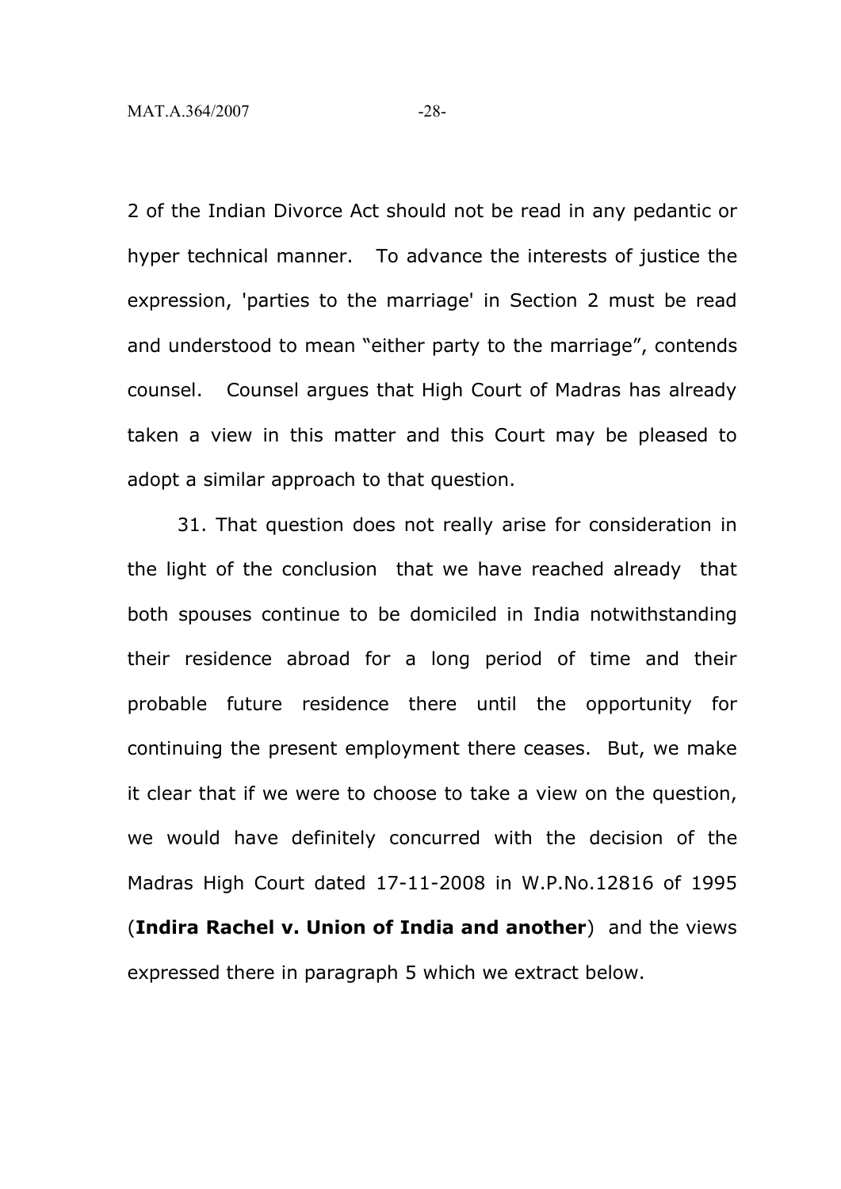2 of the Indian Divorce Act should not be read in any pedantic or hyper technical manner. To advance the interests of justice the expression, 'parties to the marriage' in Section 2 must be read and understood to mean "either party to the marriage", contends counsel. Counsel argues that High Court of Madras has already taken a view in this matter and this Court may be pleased to adopt a similar approach to that question.

31. That question does not really arise for consideration in the light of the conclusion that we have reached already that both spouses continue to be domiciled in India notwithstanding their residence abroad for a long period of time and their probable future residence there until the opportunity for continuing the present employment there ceases. But, we make it clear that if we were to choose to take a view on the question, we would have definitely concurred with the decision of the Madras High Court dated 17-11-2008 in W.P.No.12816 of 1995 (**Indira Rachel v. Union of India and another**) and the views expressed there in paragraph 5 which we extract below.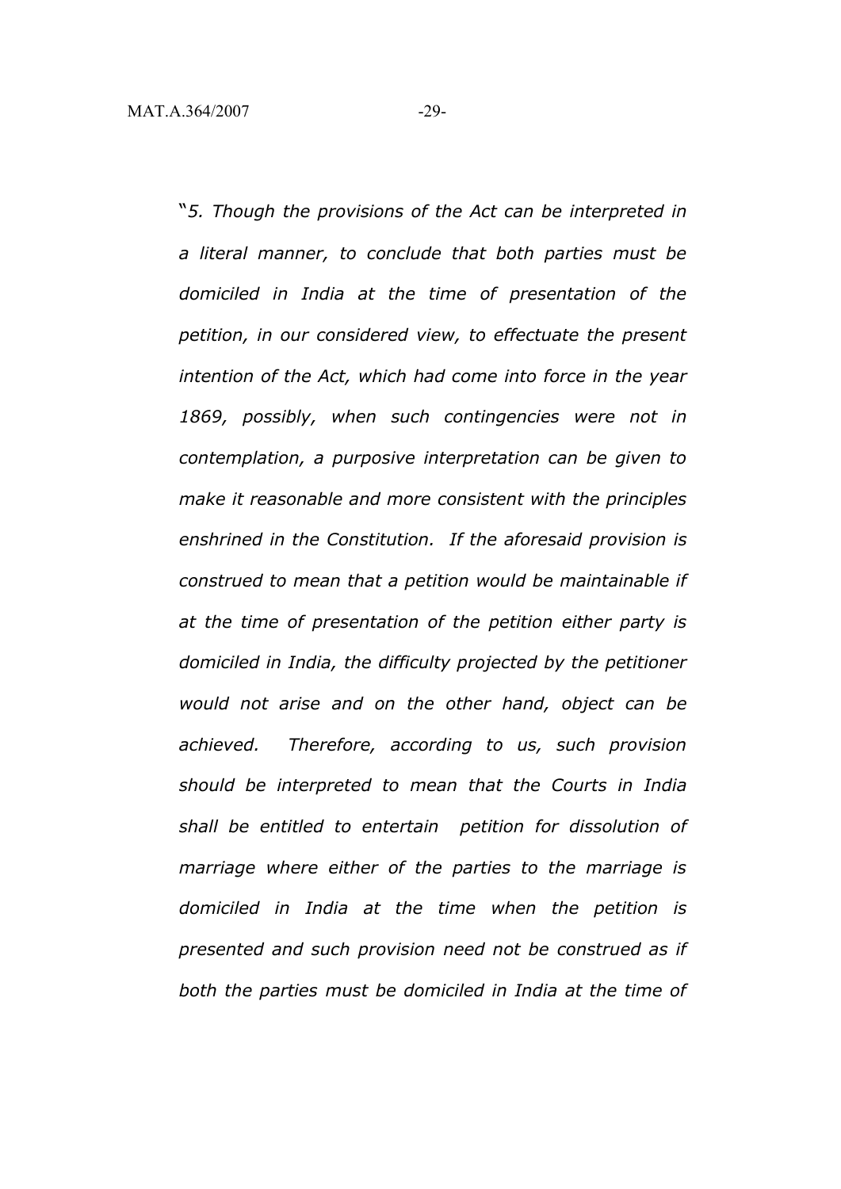"*5. Though the provisions of the Act can be interpreted in a literal manner, to conclude that both parties must be domiciled in India at the time of presentation of the petition, in our considered view, to effectuate the present intention of the Act, which had come into force in the year 1869, possibly, when such contingencies were not in contemplation, a purposive interpretation can be given to make it reasonable and more consistent with the principles enshrined in the Constitution. If the aforesaid provision is construed to mean that a petition would be maintainable if at the time of presentation of the petition either party is domiciled in India, the difficulty projected by the petitioner would not arise and on the other hand, object can be achieved. Therefore, according to us, such provision should be interpreted to mean that the Courts in India shall be entitled to entertain petition for dissolution of marriage where either of the parties to the marriage is domiciled in India at the time when the petition is presented and such provision need not be construed as if both the parties must be domiciled in India at the time of*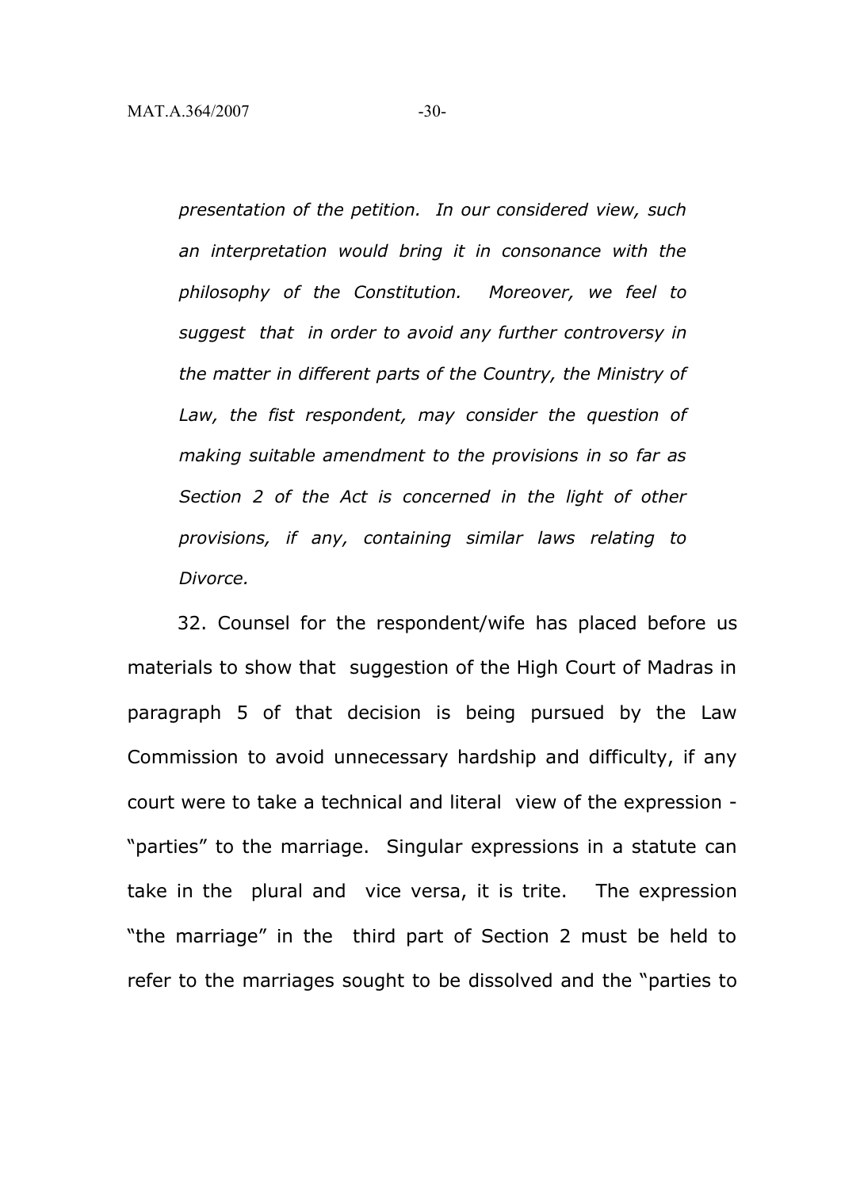*presentation of the petition. In our considered view, such an interpretation would bring it in consonance with the philosophy of the Constitution. Moreover, we feel to suggest that in order to avoid any further controversy in the matter in different parts of the Country, the Ministry of Law, the fist respondent, may consider the question of making suitable amendment to the provisions in so far as Section 2 of the Act is concerned in the light of other provisions, if any, containing similar laws relating to Divorce.*

32. Counsel for the respondent/wife has placed before us materials to show that suggestion of the High Court of Madras in paragraph 5 of that decision is being pursued by the Law Commission to avoid unnecessary hardship and difficulty, if any court were to take a technical and literal view of the expression - "parties" to the marriage. Singular expressions in a statute can take in the plural and vice versa, it is trite. The expression "the marriage" in the third part of Section 2 must be held to refer to the marriages sought to be dissolved and the "parties to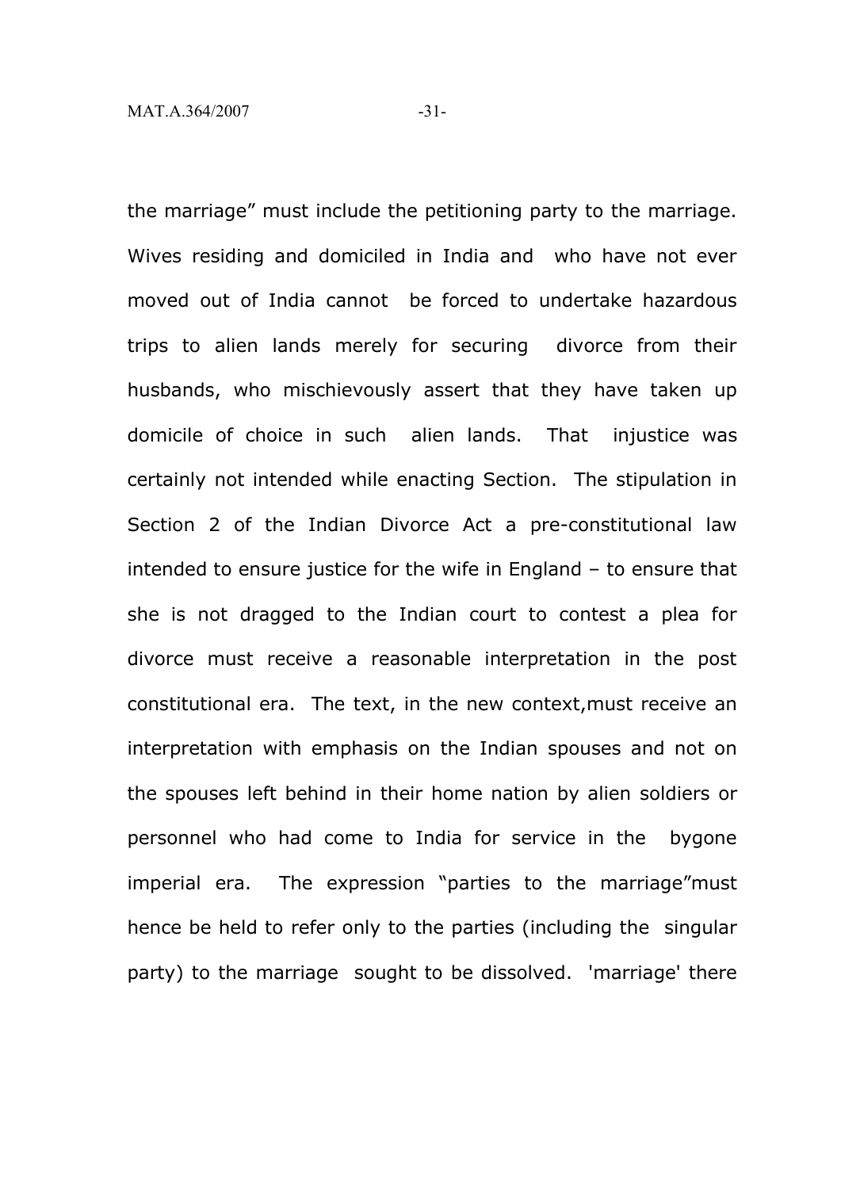the marriage" must include the petitioning party to the marriage. Wives residing and domiciled in India and who have not ever moved out of India cannot be forced to undertake hazardous trips to alien lands merely for securing divorce from their husbands, who mischievously assert that they have taken up domicile of choice in such alien lands. That injustice was certainly not intended while enacting Section. The stipulation in Section 2 of the Indian Divorce Act a pre-constitutional law intended to ensure justice for the wife in England – to ensure that she is not dragged to the Indian court to contest a plea for divorce must receive a reasonable interpretation in the post constitutional era. The text, in the new context,must receive an interpretation with emphasis on the Indian spouses and not on the spouses left behind in their home nation by alien soldiers or personnel who had come to India for service in the bygone imperial era. The expression "parties to the marriage"must hence be held to refer only to the parties (including the singular party) to the marriage sought to be dissolved. 'marriage' there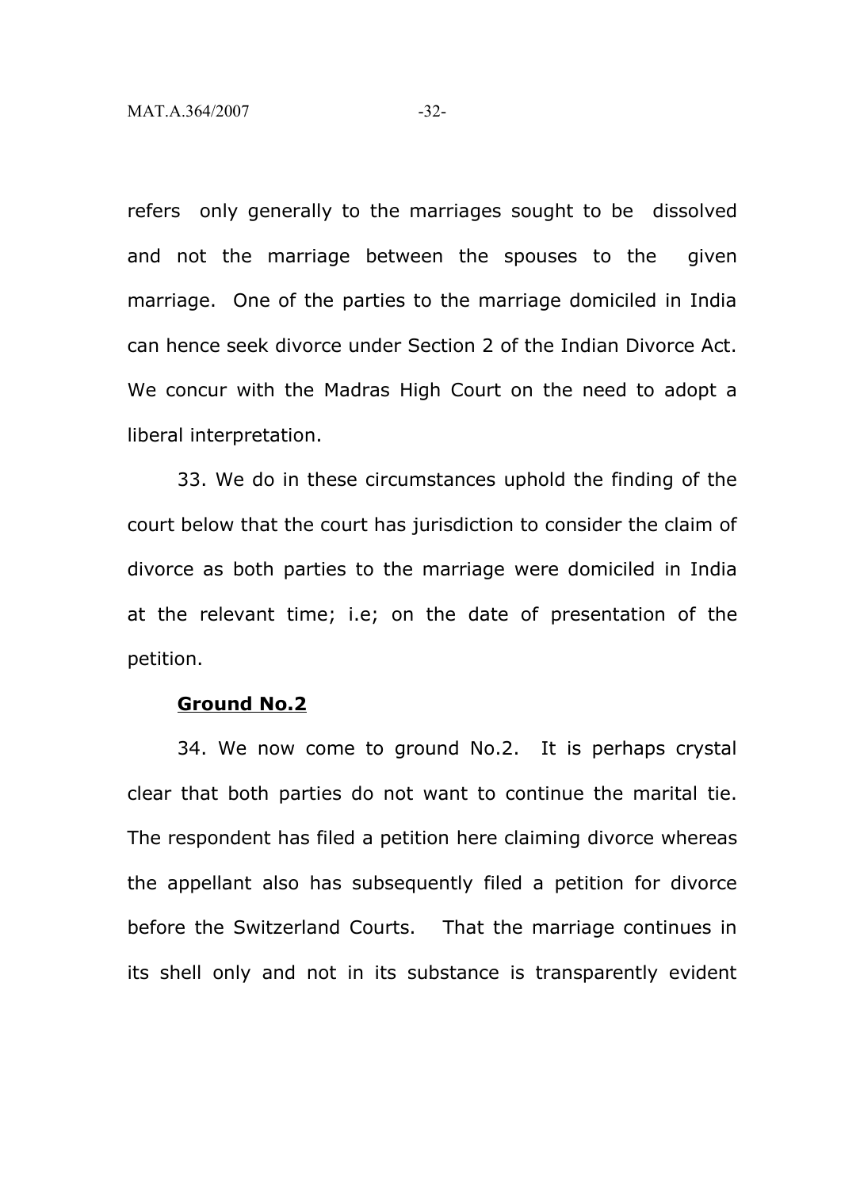refers only generally to the marriages sought to be dissolved and not the marriage between the spouses to the given marriage. One of the parties to the marriage domiciled in India can hence seek divorce under Section 2 of the Indian Divorce Act. We concur with the Madras High Court on the need to adopt a liberal interpretation.

33. We do in these circumstances uphold the finding of the court below that the court has jurisdiction to consider the claim of divorce as both parties to the marriage were domiciled in India at the relevant time; i.e; on the date of presentation of the petition.

#### **Ground No.2**

34. We now come to ground No.2. It is perhaps crystal clear that both parties do not want to continue the marital tie. The respondent has filed a petition here claiming divorce whereas the appellant also has subsequently filed a petition for divorce before the Switzerland Courts. That the marriage continues in its shell only and not in its substance is transparently evident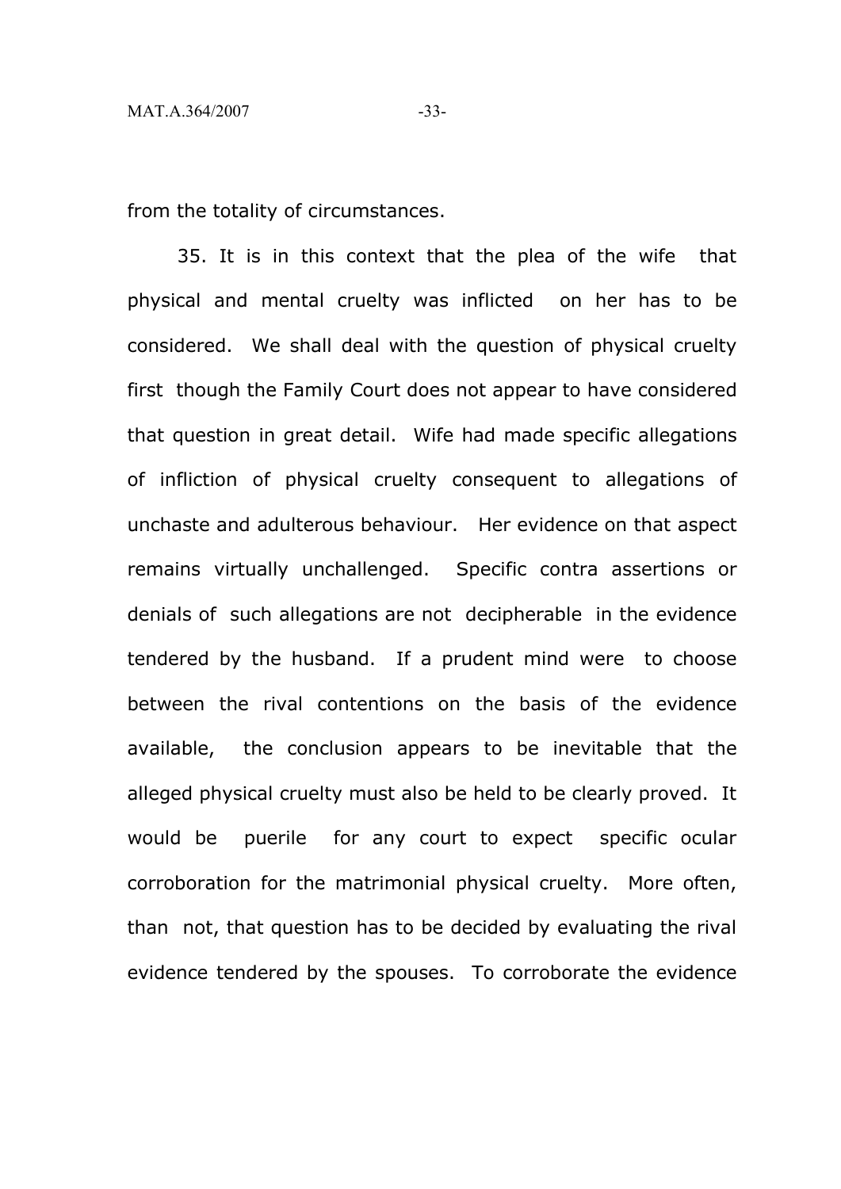from the totality of circumstances.

35. It is in this context that the plea of the wife that physical and mental cruelty was inflicted on her has to be considered. We shall deal with the question of physical cruelty first though the Family Court does not appear to have considered that question in great detail. Wife had made specific allegations of infliction of physical cruelty consequent to allegations of unchaste and adulterous behaviour. Her evidence on that aspect remains virtually unchallenged. Specific contra assertions or denials of such allegations are not decipherable in the evidence tendered by the husband. If a prudent mind were to choose between the rival contentions on the basis of the evidence available, the conclusion appears to be inevitable that the alleged physical cruelty must also be held to be clearly proved. It would be puerile for any court to expect specific ocular corroboration for the matrimonial physical cruelty. More often, than not, that question has to be decided by evaluating the rival evidence tendered by the spouses. To corroborate the evidence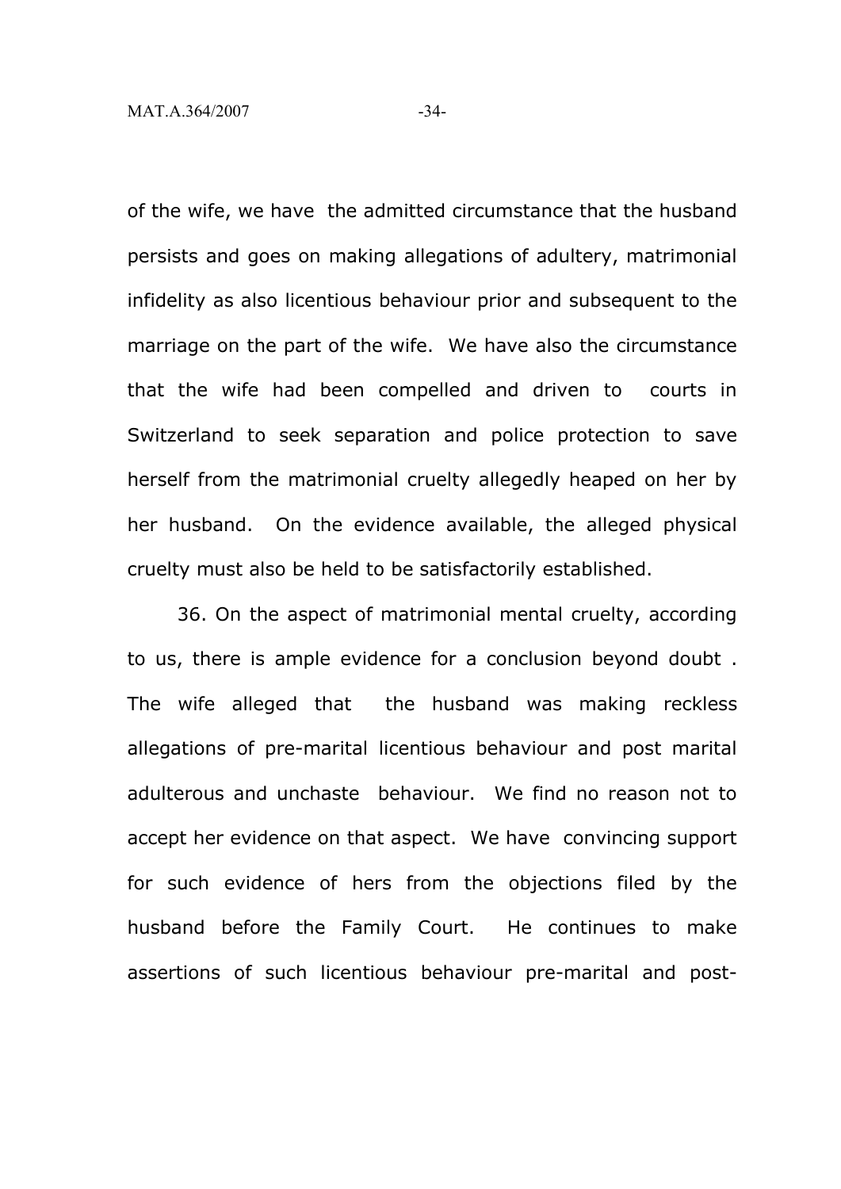of the wife, we have the admitted circumstance that the husband persists and goes on making allegations of adultery, matrimonial infidelity as also licentious behaviour prior and subsequent to the marriage on the part of the wife. We have also the circumstance that the wife had been compelled and driven to courts in Switzerland to seek separation and police protection to save herself from the matrimonial cruelty allegedly heaped on her by her husband. On the evidence available, the alleged physical cruelty must also be held to be satisfactorily established.

36. On the aspect of matrimonial mental cruelty, according to us, there is ample evidence for a conclusion beyond doubt . The wife alleged that the husband was making reckless allegations of pre-marital licentious behaviour and post marital adulterous and unchaste behaviour. We find no reason not to accept her evidence on that aspect. We have convincing support for such evidence of hers from the objections filed by the husband before the Family Court. He continues to make assertions of such licentious behaviour pre-marital and post-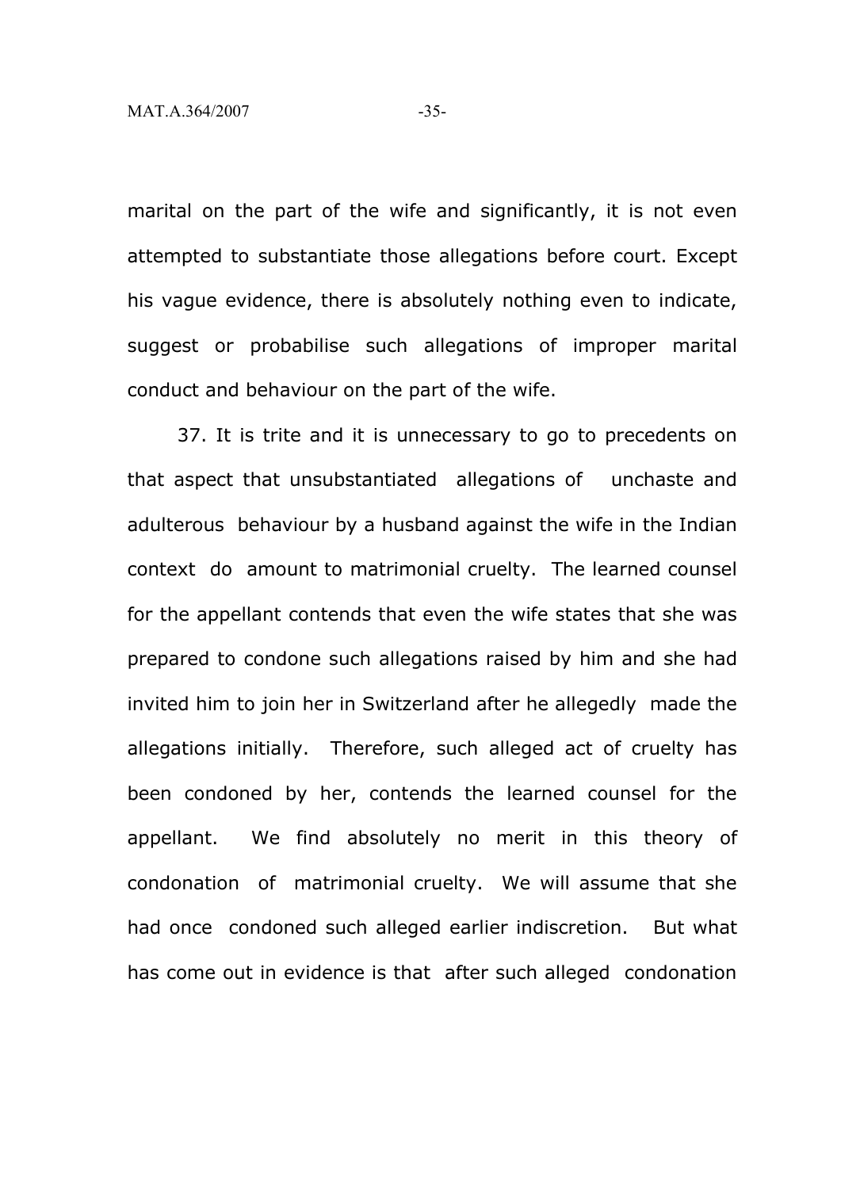marital on the part of the wife and significantly, it is not even attempted to substantiate those allegations before court. Except his vague evidence, there is absolutely nothing even to indicate, suggest or probabilise such allegations of improper marital conduct and behaviour on the part of the wife.

37. It is trite and it is unnecessary to go to precedents on that aspect that unsubstantiated allegations of unchaste and adulterous behaviour by a husband against the wife in the Indian context do amount to matrimonial cruelty. The learned counsel for the appellant contends that even the wife states that she was prepared to condone such allegations raised by him and she had invited him to join her in Switzerland after he allegedly made the allegations initially. Therefore, such alleged act of cruelty has been condoned by her, contends the learned counsel for the appellant. We find absolutely no merit in this theory of condonation of matrimonial cruelty. We will assume that she had once condoned such alleged earlier indiscretion. But what has come out in evidence is that after such alleged condonation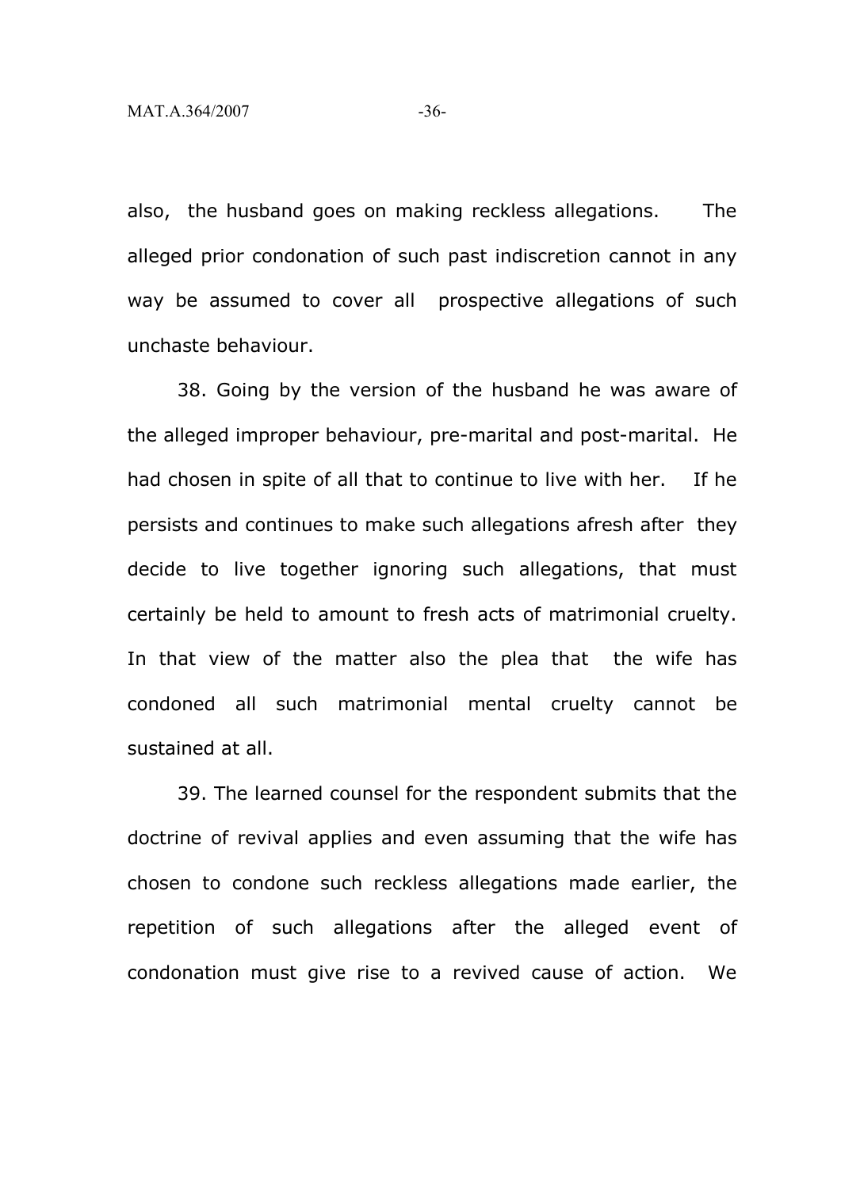also, the husband goes on making reckless allegations. The alleged prior condonation of such past indiscretion cannot in any way be assumed to cover all prospective allegations of such unchaste behaviour.

38. Going by the version of the husband he was aware of the alleged improper behaviour, pre-marital and post-marital. He had chosen in spite of all that to continue to live with her. If he persists and continues to make such allegations afresh after they decide to live together ignoring such allegations, that must certainly be held to amount to fresh acts of matrimonial cruelty. In that view of the matter also the plea that the wife has condoned all such matrimonial mental cruelty cannot be sustained at all.

39. The learned counsel for the respondent submits that the doctrine of revival applies and even assuming that the wife has chosen to condone such reckless allegations made earlier, the repetition of such allegations after the alleged event of condonation must give rise to a revived cause of action. We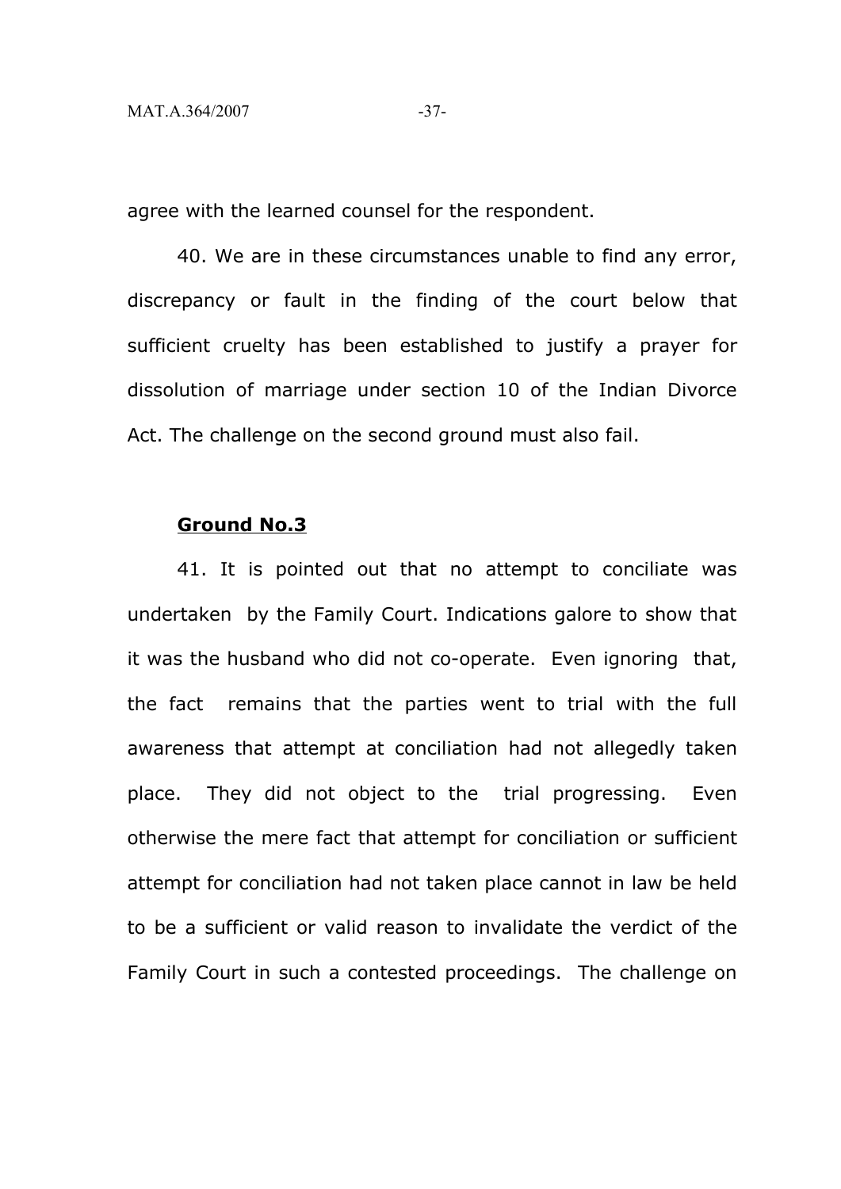agree with the learned counsel for the respondent.

40. We are in these circumstances unable to find any error, discrepancy or fault in the finding of the court below that sufficient cruelty has been established to justify a prayer for dissolution of marriage under section 10 of the Indian Divorce Act. The challenge on the second ground must also fail.

#### **Ground No.3**

41. It is pointed out that no attempt to conciliate was undertaken by the Family Court. Indications galore to show that it was the husband who did not co-operate. Even ignoring that, the fact remains that the parties went to trial with the full awareness that attempt at conciliation had not allegedly taken place. They did not object to the trial progressing. Even otherwise the mere fact that attempt for conciliation or sufficient attempt for conciliation had not taken place cannot in law be held to be a sufficient or valid reason to invalidate the verdict of the Family Court in such a contested proceedings. The challenge on